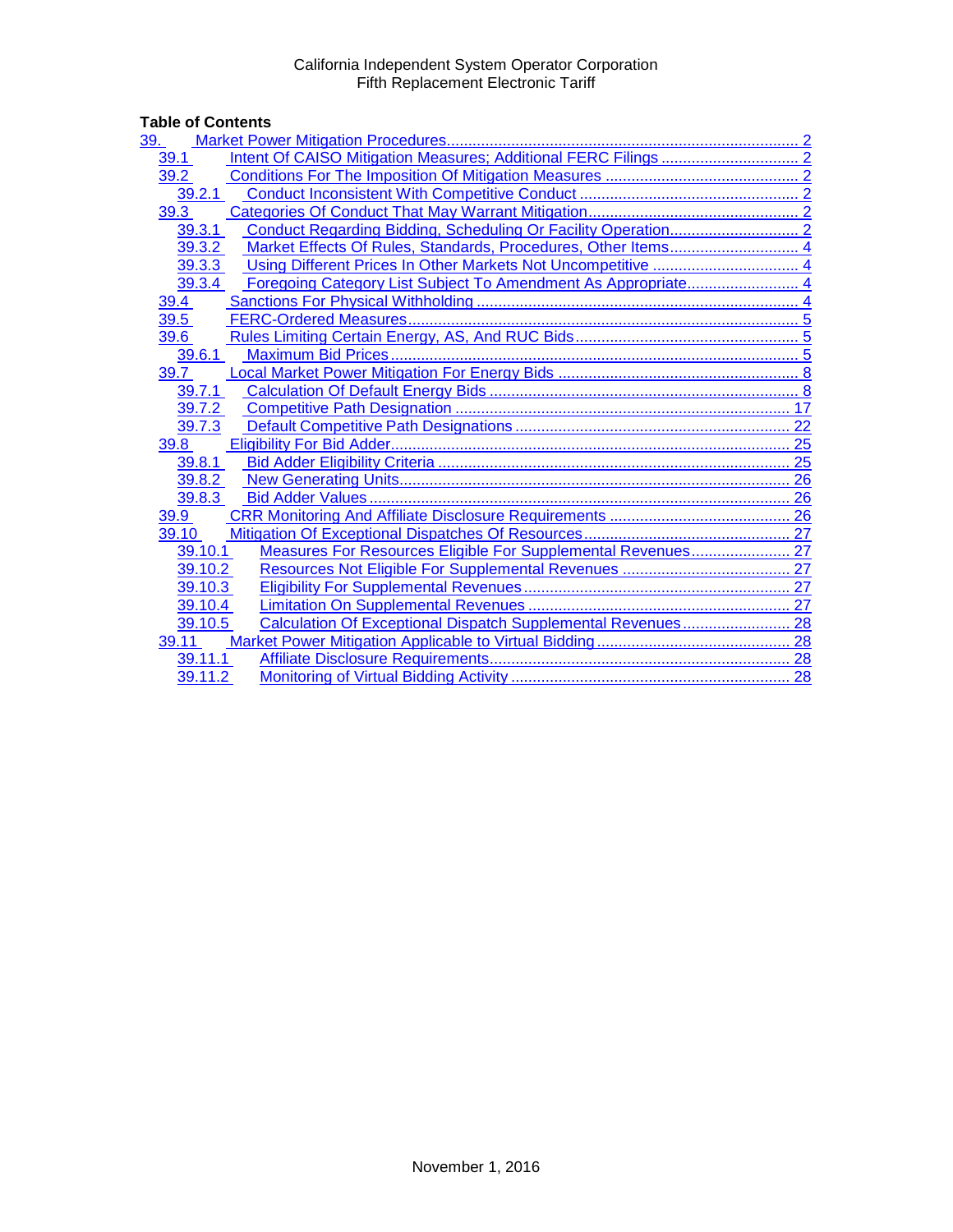# Table of Contents<br>
<u>39. Market Pow</u>

| <u>39.</u> |                                                               |  |
|------------|---------------------------------------------------------------|--|
| 39.1       |                                                               |  |
| 39.2       |                                                               |  |
| 39.2.1     |                                                               |  |
| 39.3       |                                                               |  |
| 39.3.1     |                                                               |  |
| 39.3.2     | Market Effects Of Rules, Standards, Procedures, Other Items 4 |  |
| 39.3.3     |                                                               |  |
| 39.3.4     |                                                               |  |
| 39.4       |                                                               |  |
| 39.5       |                                                               |  |
| 39.6       |                                                               |  |
| 39.6.1     |                                                               |  |
| 39.7       |                                                               |  |
| 39.7.1     |                                                               |  |
| 39.7.2     |                                                               |  |
| 39.7.3     |                                                               |  |
| 39.8       |                                                               |  |
| 39.8.1     |                                                               |  |
| 39.8.2     |                                                               |  |
| 39.8.3     |                                                               |  |
| 39.9       |                                                               |  |
| 39.10      |                                                               |  |
| 39.10.1    | Measures For Resources Eligible For Supplemental Revenues 27  |  |
| 39.10.2    |                                                               |  |
| 39.10.3    |                                                               |  |
| 39.10.4    |                                                               |  |
| 39.10.5    | Calculation Of Exceptional Dispatch Supplemental Revenues 28  |  |
| 39.11      |                                                               |  |
| 39.11.1    |                                                               |  |
| 39.11.2    |                                                               |  |
|            |                                                               |  |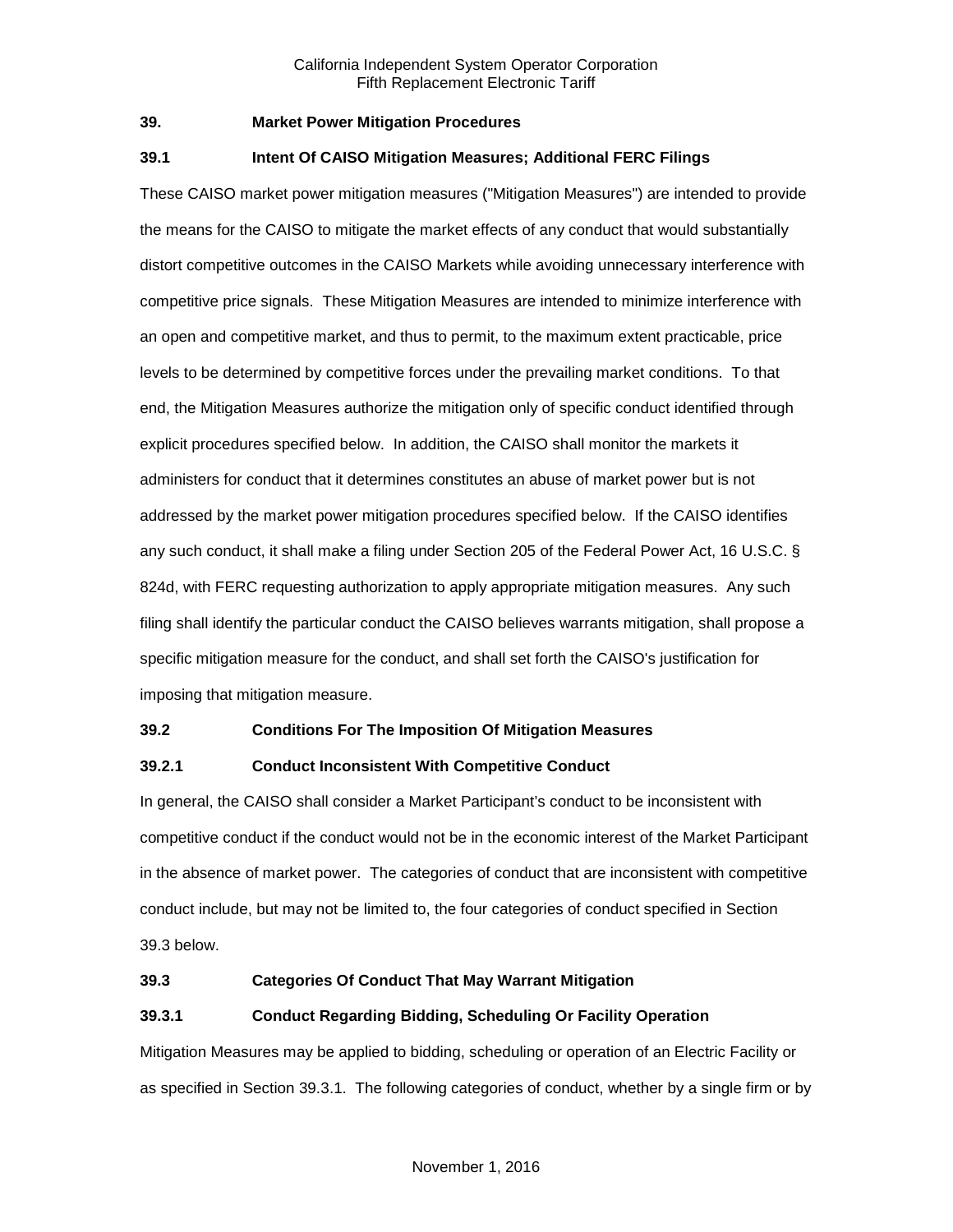#### <span id="page-1-0"></span>**39. Market Power Mitigation Procedures**

# <span id="page-1-1"></span>**39.1 Intent Of CAISO Mitigation Measures; Additional FERC Filings**

These CAISO market power mitigation measures ("Mitigation Measures") are intended to provide the means for the CAISO to mitigate the market effects of any conduct that would substantially distort competitive outcomes in the CAISO Markets while avoiding unnecessary interference with competitive price signals. These Mitigation Measures are intended to minimize interference with an open and competitive market, and thus to permit, to the maximum extent practicable, price levels to be determined by competitive forces under the prevailing market conditions. To that end, the Mitigation Measures authorize the mitigation only of specific conduct identified through explicit procedures specified below. In addition, the CAISO shall monitor the markets it administers for conduct that it determines constitutes an abuse of market power but is not addressed by the market power mitigation procedures specified below. If the CAISO identifies any such conduct, it shall make a filing under Section 205 of the Federal Power Act, 16 U.S.C. § 824d, with FERC requesting authorization to apply appropriate mitigation measures. Any such filing shall identify the particular conduct the CAISO believes warrants mitigation, shall propose a specific mitigation measure for the conduct, and shall set forth the CAISO's justification for imposing that mitigation measure.

#### <span id="page-1-2"></span>**39.2 Conditions For The Imposition Of Mitigation Measures**

# <span id="page-1-3"></span>**39.2.1 Conduct Inconsistent With Competitive Conduct**

In general, the CAISO shall consider a Market Participant's conduct to be inconsistent with competitive conduct if the conduct would not be in the economic interest of the Market Participant in the absence of market power. The categories of conduct that are inconsistent with competitive conduct include, but may not be limited to, the four categories of conduct specified in Section 39.3 below.

# <span id="page-1-4"></span>**39.3 Categories Of Conduct That May Warrant Mitigation**

# <span id="page-1-5"></span>**39.3.1 Conduct Regarding Bidding, Scheduling Or Facility Operation**

Mitigation Measures may be applied to bidding, scheduling or operation of an Electric Facility or as specified in Section 39.3.1. The following categories of conduct, whether by a single firm or by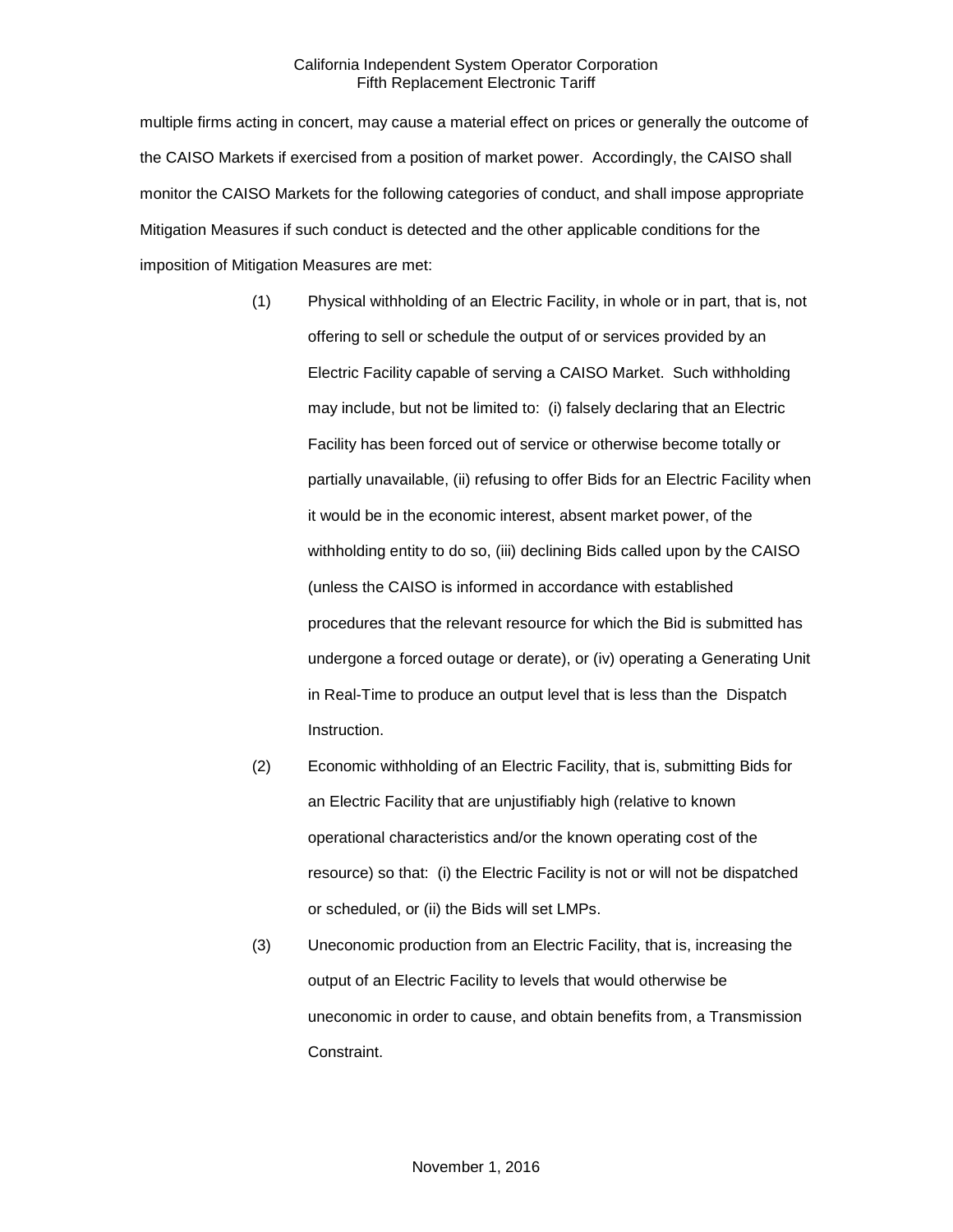multiple firms acting in concert, may cause a material effect on prices or generally the outcome of the CAISO Markets if exercised from a position of market power. Accordingly, the CAISO shall monitor the CAISO Markets for the following categories of conduct, and shall impose appropriate Mitigation Measures if such conduct is detected and the other applicable conditions for the imposition of Mitigation Measures are met:

- (1) Physical withholding of an Electric Facility, in whole or in part, that is, not offering to sell or schedule the output of or services provided by an Electric Facility capable of serving a CAISO Market. Such withholding may include, but not be limited to: (i) falsely declaring that an Electric Facility has been forced out of service or otherwise become totally or partially unavailable, (ii) refusing to offer Bids for an Electric Facility when it would be in the economic interest, absent market power, of the withholding entity to do so, (iii) declining Bids called upon by the CAISO (unless the CAISO is informed in accordance with established procedures that the relevant resource for which the Bid is submitted has undergone a forced outage or derate), or (iv) operating a Generating Unit in Real-Time to produce an output level that is less than the Dispatch Instruction.
- (2) Economic withholding of an Electric Facility, that is, submitting Bids for an Electric Facility that are unjustifiably high (relative to known operational characteristics and/or the known operating cost of the resource) so that: (i) the Electric Facility is not or will not be dispatched or scheduled, or (ii) the Bids will set LMPs.
- (3) Uneconomic production from an Electric Facility, that is, increasing the output of an Electric Facility to levels that would otherwise be uneconomic in order to cause, and obtain benefits from, a Transmission Constraint.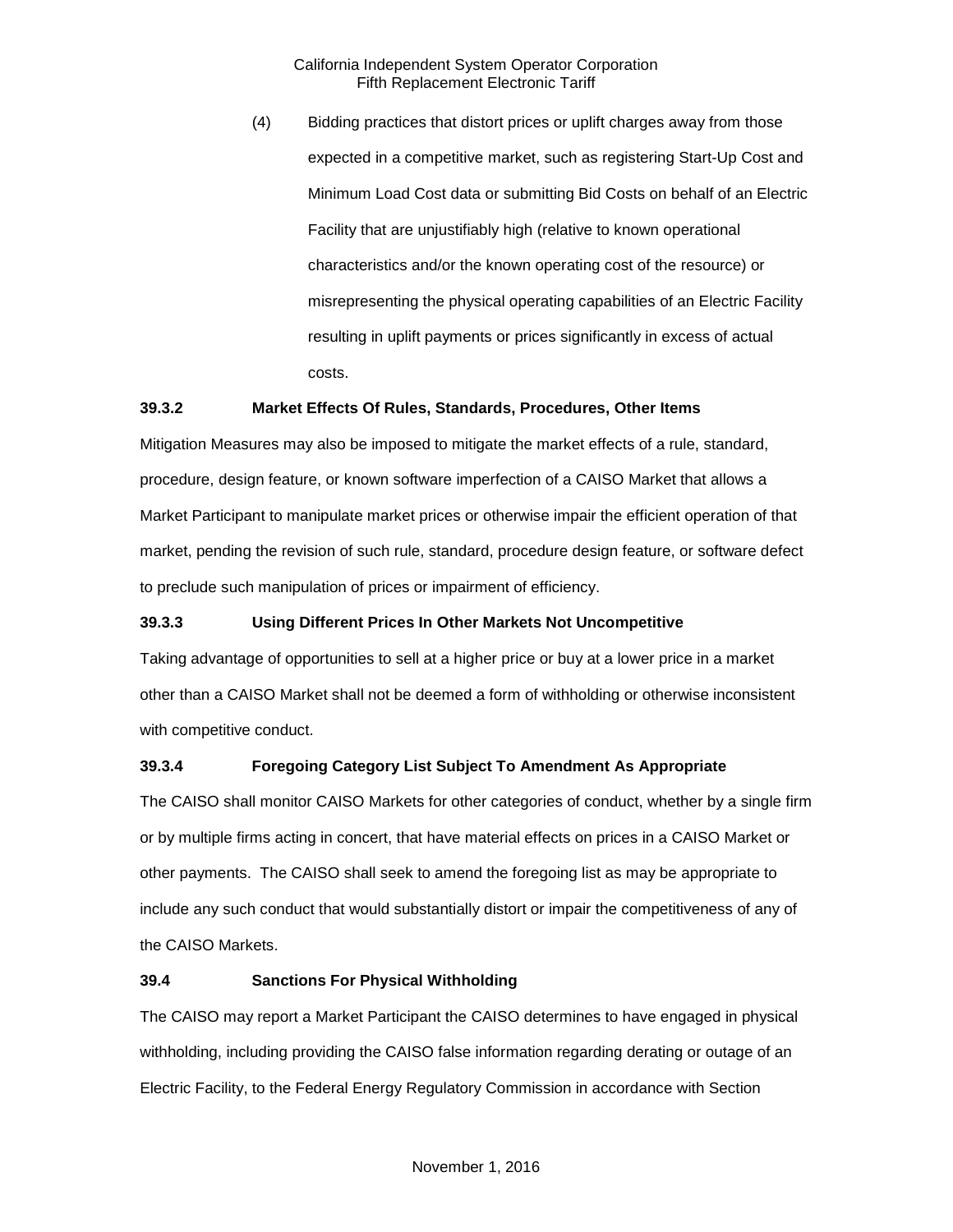(4) Bidding practices that distort prices or uplift charges away from those expected in a competitive market, such as registering Start-Up Cost and Minimum Load Cost data or submitting Bid Costs on behalf of an Electric Facility that are unjustifiably high (relative to known operational characteristics and/or the known operating cost of the resource) or misrepresenting the physical operating capabilities of an Electric Facility resulting in uplift payments or prices significantly in excess of actual costs.

#### <span id="page-3-0"></span>**39.3.2 Market Effects Of Rules, Standards, Procedures, Other Items**

Mitigation Measures may also be imposed to mitigate the market effects of a rule, standard, procedure, design feature, or known software imperfection of a CAISO Market that allows a Market Participant to manipulate market prices or otherwise impair the efficient operation of that market, pending the revision of such rule, standard, procedure design feature, or software defect to preclude such manipulation of prices or impairment of efficiency.

# <span id="page-3-1"></span>**39.3.3 Using Different Prices In Other Markets Not Uncompetitive**

Taking advantage of opportunities to sell at a higher price or buy at a lower price in a market other than a CAISO Market shall not be deemed a form of withholding or otherwise inconsistent with competitive conduct.

# <span id="page-3-2"></span>**39.3.4 Foregoing Category List Subject To Amendment As Appropriate**

The CAISO shall monitor CAISO Markets for other categories of conduct, whether by a single firm or by multiple firms acting in concert, that have material effects on prices in a CAISO Market or other payments. The CAISO shall seek to amend the foregoing list as may be appropriate to include any such conduct that would substantially distort or impair the competitiveness of any of the CAISO Markets.

#### <span id="page-3-3"></span>**39.4 Sanctions For Physical Withholding**

The CAISO may report a Market Participant the CAISO determines to have engaged in physical withholding, including providing the CAISO false information regarding derating or outage of an Electric Facility, to the Federal Energy Regulatory Commission in accordance with Section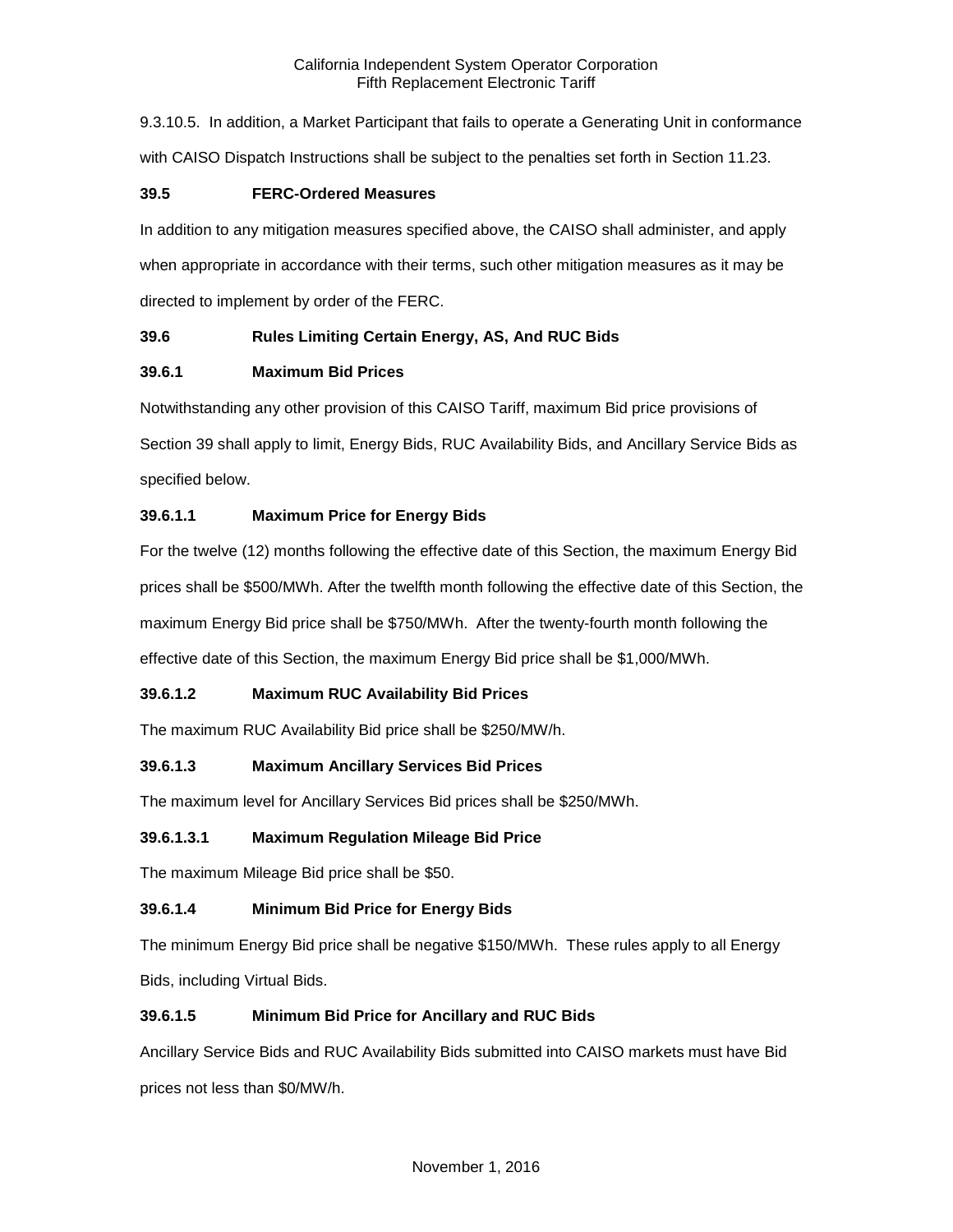9.3.10.5. In addition, a Market Participant that fails to operate a Generating Unit in conformance with CAISO Dispatch Instructions shall be subject to the penalties set forth in Section 11.23.

# <span id="page-4-0"></span>**39.5 FERC-Ordered Measures**

In addition to any mitigation measures specified above, the CAISO shall administer, and apply when appropriate in accordance with their terms, such other mitigation measures as it may be directed to implement by order of the FERC.

# <span id="page-4-1"></span>**39.6 Rules Limiting Certain Energy, AS, And RUC Bids**

# <span id="page-4-2"></span>**39.6.1 Maximum Bid Prices**

Notwithstanding any other provision of this CAISO Tariff, maximum Bid price provisions of Section 39 shall apply to limit, Energy Bids, RUC Availability Bids, and Ancillary Service Bids as specified below.

# **39.6.1.1 Maximum Price for Energy Bids**

For the twelve (12) months following the effective date of this Section, the maximum Energy Bid prices shall be \$500/MWh. After the twelfth month following the effective date of this Section, the maximum Energy Bid price shall be \$750/MWh. After the twenty-fourth month following the effective date of this Section, the maximum Energy Bid price shall be \$1,000/MWh.

# **39.6.1.2 Maximum RUC Availability Bid Prices**

The maximum RUC Availability Bid price shall be \$250/MW/h.

# **39.6.1.3 Maximum Ancillary Services Bid Prices**

The maximum level for Ancillary Services Bid prices shall be \$250/MWh.

#### **39.6.1.3.1 Maximum Regulation Mileage Bid Price**

The maximum Mileage Bid price shall be \$50.

# **39.6.1.4 Minimum Bid Price for Energy Bids**

The minimum Energy Bid price shall be negative \$150/MWh. These rules apply to all Energy Bids, including Virtual Bids.

# **39.6.1.5 Minimum Bid Price for Ancillary and RUC Bids**

Ancillary Service Bids and RUC Availability Bids submitted into CAISO markets must have Bid prices not less than \$0/MW/h.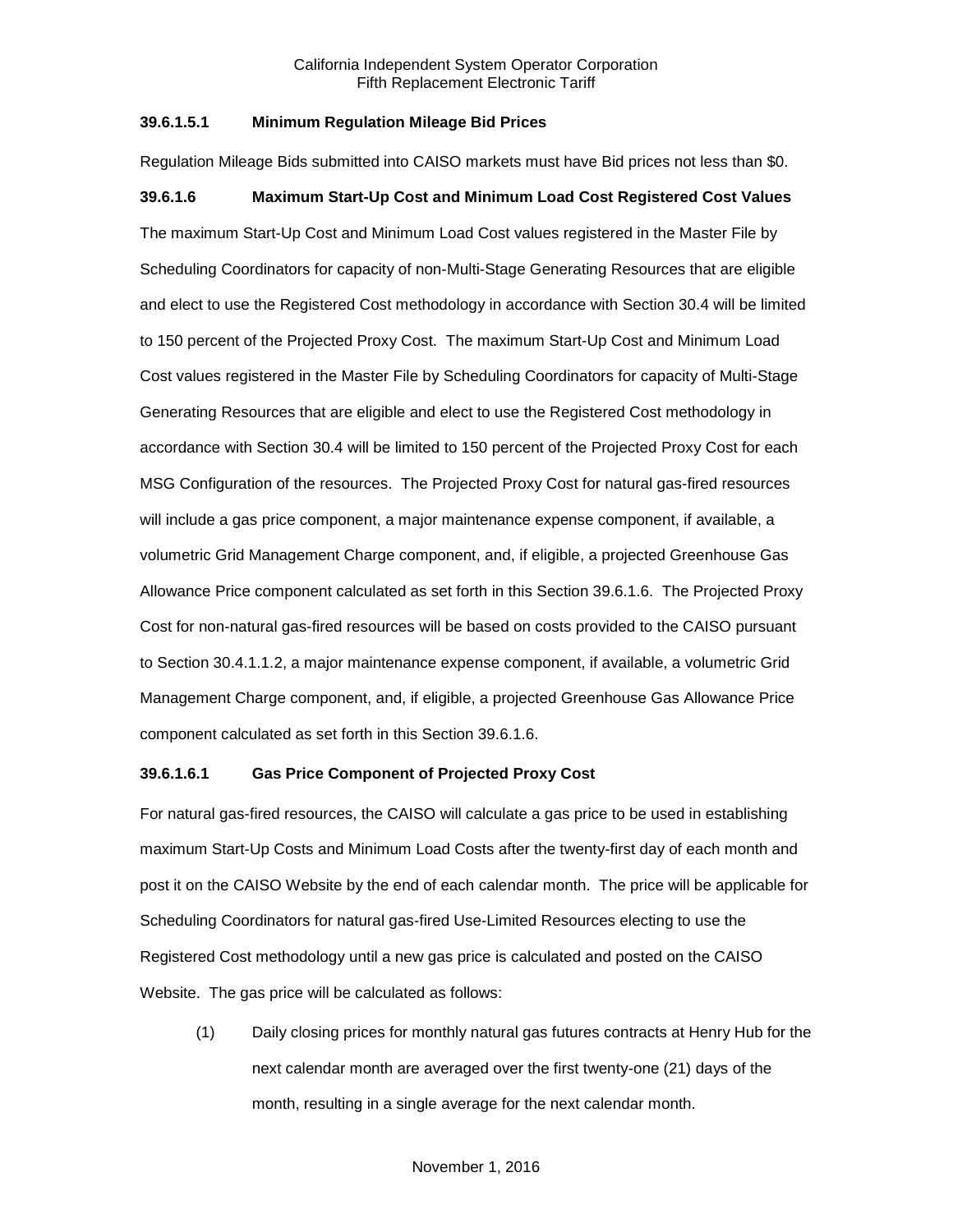# **39.6.1.5.1 Minimum Regulation Mileage Bid Prices**

Regulation Mileage Bids submitted into CAISO markets must have Bid prices not less than \$0.

# **39.6.1.6 Maximum Start-Up Cost and Minimum Load Cost Registered Cost Values**

The maximum Start-Up Cost and Minimum Load Cost values registered in the Master File by Scheduling Coordinators for capacity of non-Multi-Stage Generating Resources that are eligible and elect to use the Registered Cost methodology in accordance with Section 30.4 will be limited to 150 percent of the Projected Proxy Cost. The maximum Start-Up Cost and Minimum Load Cost values registered in the Master File by Scheduling Coordinators for capacity of Multi-Stage Generating Resources that are eligible and elect to use the Registered Cost methodology in accordance with Section 30.4 will be limited to 150 percent of the Projected Proxy Cost for each MSG Configuration of the resources. The Projected Proxy Cost for natural gas-fired resources will include a gas price component, a major maintenance expense component, if available, a volumetric Grid Management Charge component, and, if eligible, a projected Greenhouse Gas Allowance Price component calculated as set forth in this Section 39.6.1.6. The Projected Proxy Cost for non-natural gas-fired resources will be based on costs provided to the CAISO pursuant to Section 30.4.1.1.2, a major maintenance expense component, if available, a volumetric Grid Management Charge component, and, if eligible, a projected Greenhouse Gas Allowance Price component calculated as set forth in this Section 39.6.1.6.

#### **39.6.1.6.1 Gas Price Component of Projected Proxy Cost**

For natural gas-fired resources, the CAISO will calculate a gas price to be used in establishing maximum Start-Up Costs and Minimum Load Costs after the twenty-first day of each month and post it on the CAISO Website by the end of each calendar month. The price will be applicable for Scheduling Coordinators for natural gas-fired Use-Limited Resources electing to use the Registered Cost methodology until a new gas price is calculated and posted on the CAISO Website. The gas price will be calculated as follows:

(1) Daily closing prices for monthly natural gas futures contracts at Henry Hub for the next calendar month are averaged over the first twenty-one (21) days of the month, resulting in a single average for the next calendar month.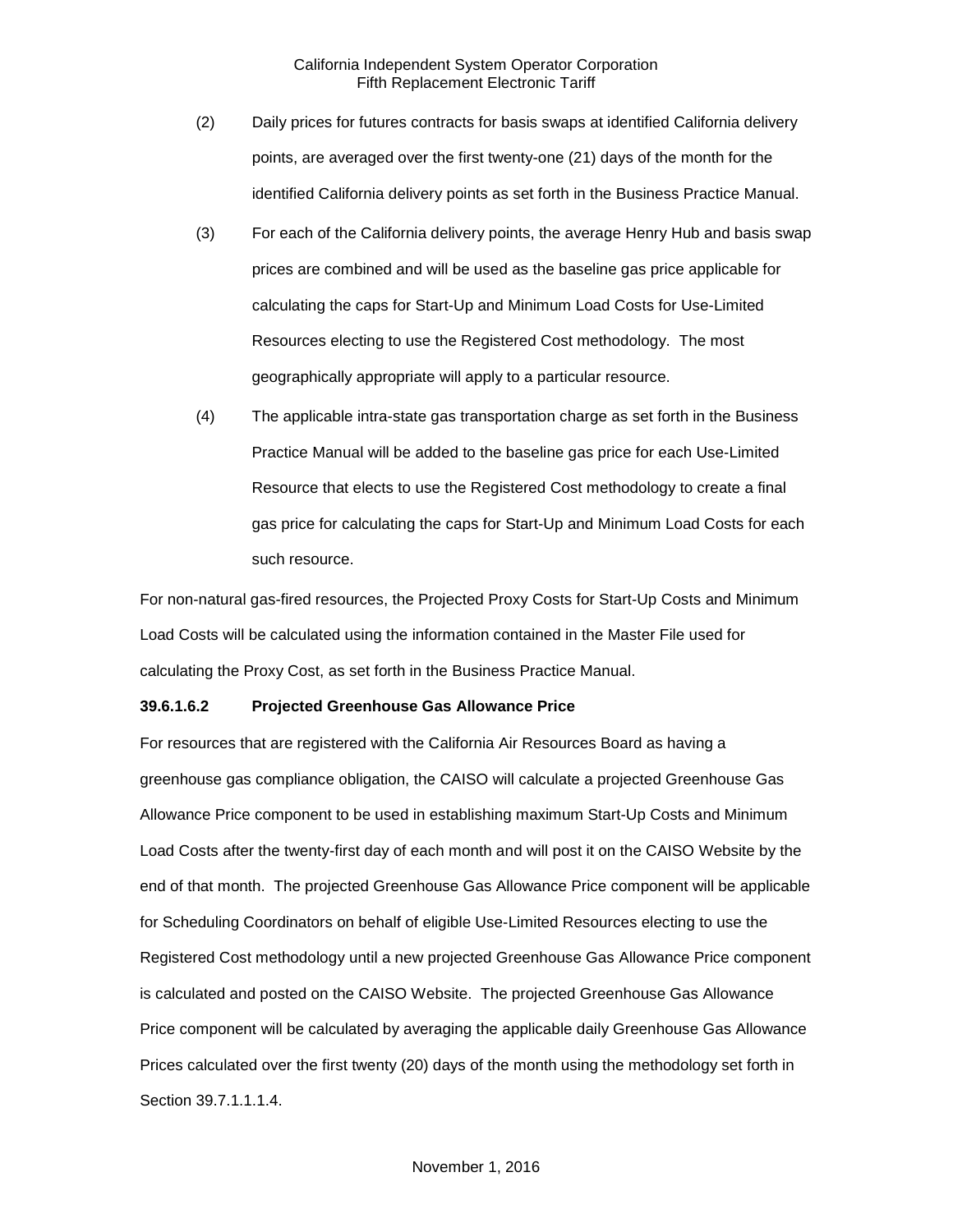- (2) Daily prices for futures contracts for basis swaps at identified California delivery points, are averaged over the first twenty-one (21) days of the month for the identified California delivery points as set forth in the Business Practice Manual.
- (3) For each of the California delivery points, the average Henry Hub and basis swap prices are combined and will be used as the baseline gas price applicable for calculating the caps for Start-Up and Minimum Load Costs for Use-Limited Resources electing to use the Registered Cost methodology. The most geographically appropriate will apply to a particular resource.
- (4) The applicable intra-state gas transportation charge as set forth in the Business Practice Manual will be added to the baseline gas price for each Use-Limited Resource that elects to use the Registered Cost methodology to create a final gas price for calculating the caps for Start-Up and Minimum Load Costs for each such resource.

For non-natural gas-fired resources, the Projected Proxy Costs for Start-Up Costs and Minimum Load Costs will be calculated using the information contained in the Master File used for calculating the Proxy Cost, as set forth in the Business Practice Manual.

#### **39.6.1.6.2 Projected Greenhouse Gas Allowance Price**

For resources that are registered with the California Air Resources Board as having a greenhouse gas compliance obligation, the CAISO will calculate a projected Greenhouse Gas Allowance Price component to be used in establishing maximum Start-Up Costs and Minimum Load Costs after the twenty-first day of each month and will post it on the CAISO Website by the end of that month. The projected Greenhouse Gas Allowance Price component will be applicable for Scheduling Coordinators on behalf of eligible Use-Limited Resources electing to use the Registered Cost methodology until a new projected Greenhouse Gas Allowance Price component is calculated and posted on the CAISO Website. The projected Greenhouse Gas Allowance Price component will be calculated by averaging the applicable daily Greenhouse Gas Allowance Prices calculated over the first twenty (20) days of the month using the methodology set forth in Section 39.7.1.1.1.4.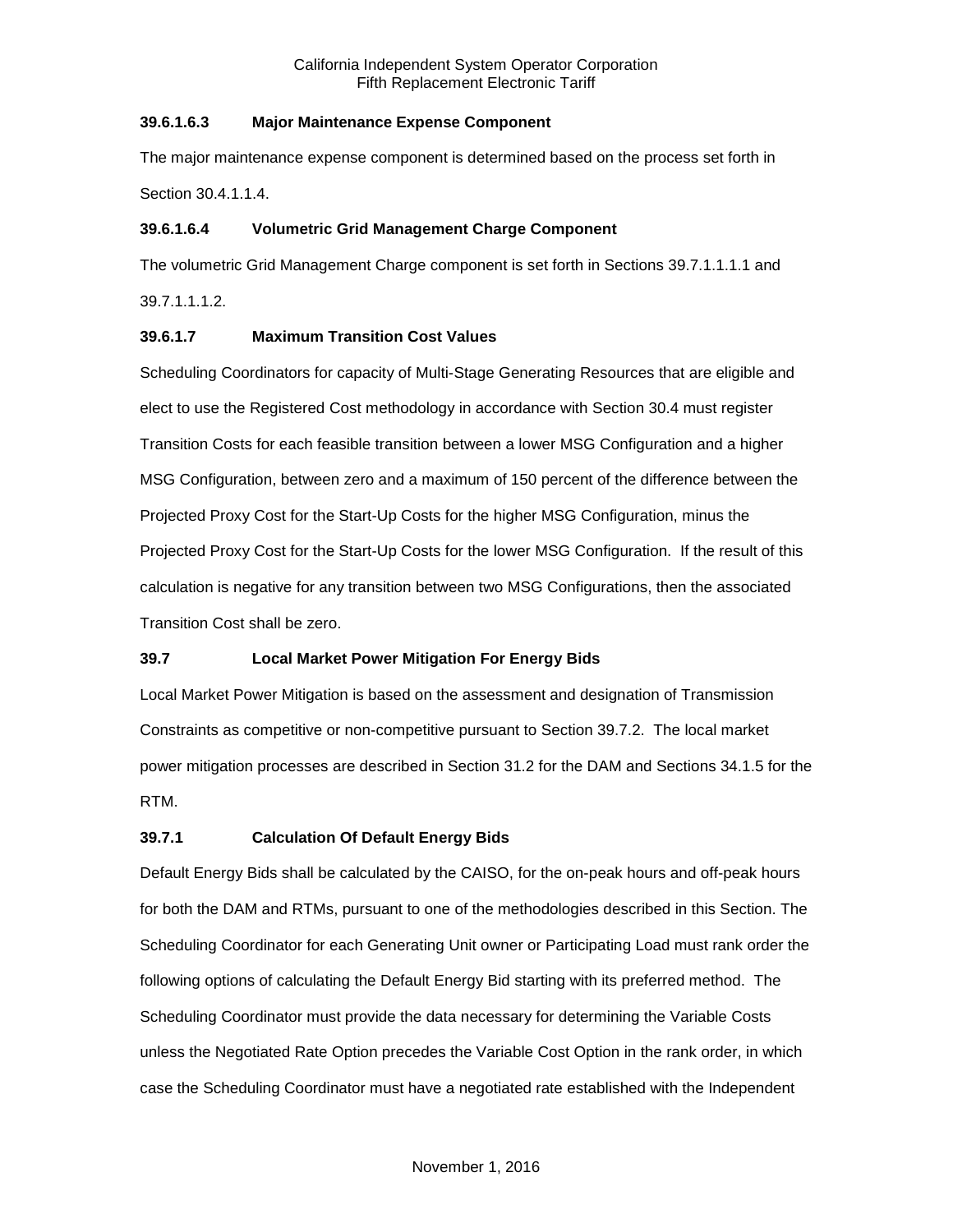# **39.6.1.6.3 Major Maintenance Expense Component**

The major maintenance expense component is determined based on the process set forth in Section 30.4.1.1.4.

# **39.6.1.6.4 Volumetric Grid Management Charge Component**

The volumetric Grid Management Charge component is set forth in Sections 39.7.1.1.1.1 and 39.7.1.1.1.2.

# **39.6.1.7 Maximum Transition Cost Values**

Scheduling Coordinators for capacity of Multi-Stage Generating Resources that are eligible and elect to use the Registered Cost methodology in accordance with Section 30.4 must register Transition Costs for each feasible transition between a lower MSG Configuration and a higher MSG Configuration, between zero and a maximum of 150 percent of the difference between the Projected Proxy Cost for the Start-Up Costs for the higher MSG Configuration, minus the Projected Proxy Cost for the Start-Up Costs for the lower MSG Configuration. If the result of this calculation is negative for any transition between two MSG Configurations, then the associated Transition Cost shall be zero.

# <span id="page-7-0"></span>**39.7 Local Market Power Mitigation For Energy Bids**

Local Market Power Mitigation is based on the assessment and designation of Transmission Constraints as competitive or non-competitive pursuant to Section 39.7.2. The local market power mitigation processes are described in Section 31.2 for the DAM and Sections 34.1.5 for the RTM.

# <span id="page-7-1"></span>**39.7.1 Calculation Of Default Energy Bids**

Default Energy Bids shall be calculated by the CAISO, for the on-peak hours and off-peak hours for both the DAM and RTMs, pursuant to one of the methodologies described in this Section. The Scheduling Coordinator for each Generating Unit owner or Participating Load must rank order the following options of calculating the Default Energy Bid starting with its preferred method. The Scheduling Coordinator must provide the data necessary for determining the Variable Costs unless the Negotiated Rate Option precedes the Variable Cost Option in the rank order, in which case the Scheduling Coordinator must have a negotiated rate established with the Independent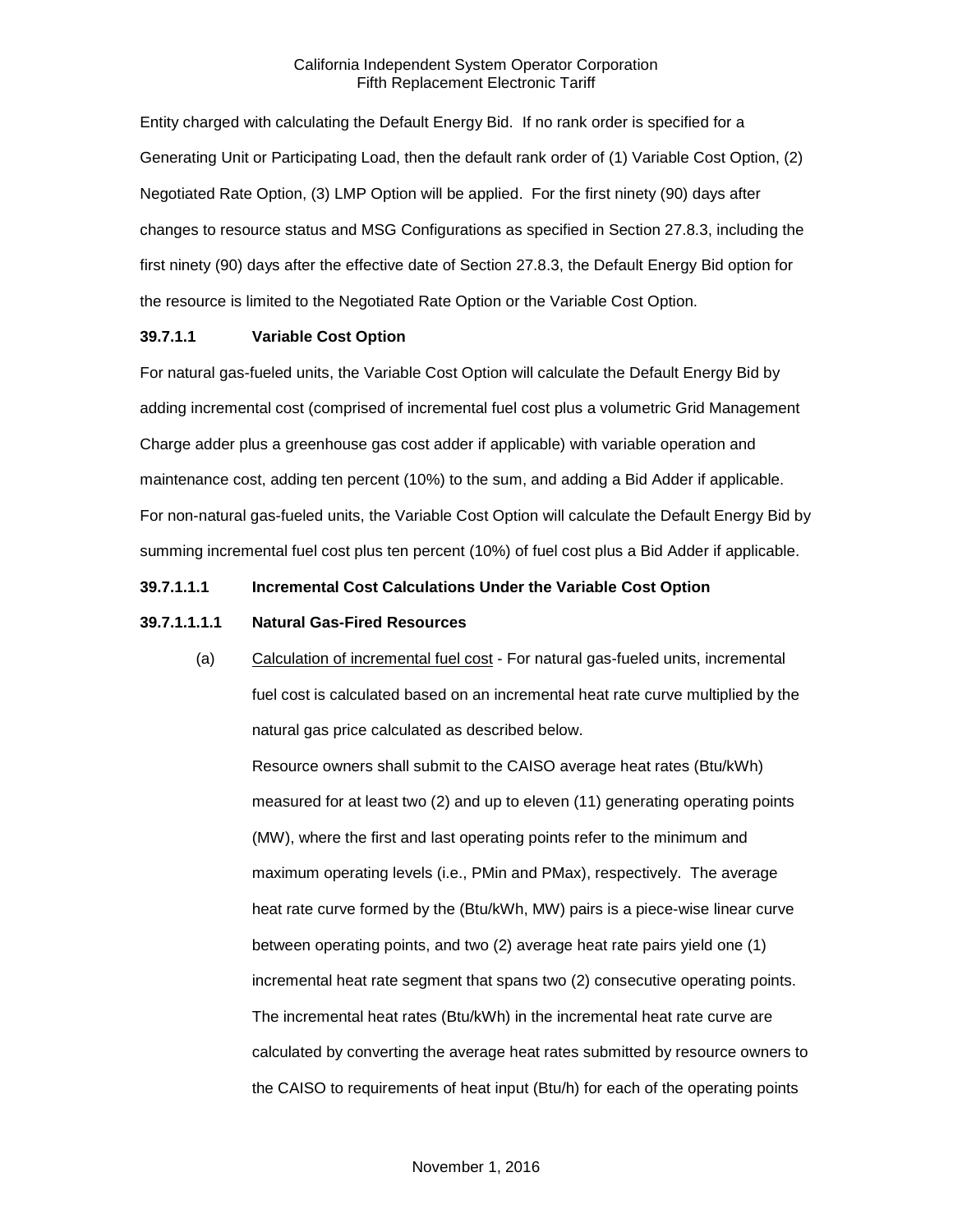Entity charged with calculating the Default Energy Bid. If no rank order is specified for a Generating Unit or Participating Load, then the default rank order of (1) Variable Cost Option, (2) Negotiated Rate Option, (3) LMP Option will be applied. For the first ninety (90) days after changes to resource status and MSG Configurations as specified in Section 27.8.3, including the first ninety (90) days after the effective date of Section 27.8.3, the Default Energy Bid option for the resource is limited to the Negotiated Rate Option or the Variable Cost Option.

#### **39.7.1.1 Variable Cost Option**

For natural gas-fueled units, the Variable Cost Option will calculate the Default Energy Bid by adding incremental cost (comprised of incremental fuel cost plus a volumetric Grid Management Charge adder plus a greenhouse gas cost adder if applicable) with variable operation and maintenance cost, adding ten percent (10%) to the sum, and adding a Bid Adder if applicable. For non-natural gas-fueled units, the Variable Cost Option will calculate the Default Energy Bid by summing incremental fuel cost plus ten percent (10%) of fuel cost plus a Bid Adder if applicable.

# **39.7.1.1.1 Incremental Cost Calculations Under the Variable Cost Option**

# **39.7.1.1.1.1 Natural Gas-Fired Resources**

(a) Calculation of incremental fuel cost - For natural gas-fueled units, incremental fuel cost is calculated based on an incremental heat rate curve multiplied by the natural gas price calculated as described below.

Resource owners shall submit to the CAISO average heat rates (Btu/kWh) measured for at least two (2) and up to eleven (11) generating operating points (MW), where the first and last operating points refer to the minimum and maximum operating levels (i.e., PMin and PMax), respectively. The average heat rate curve formed by the (Btu/kWh, MW) pairs is a piece-wise linear curve between operating points, and two (2) average heat rate pairs yield one (1) incremental heat rate segment that spans two (2) consecutive operating points. The incremental heat rates (Btu/kWh) in the incremental heat rate curve are calculated by converting the average heat rates submitted by resource owners to the CAISO to requirements of heat input (Btu/h) for each of the operating points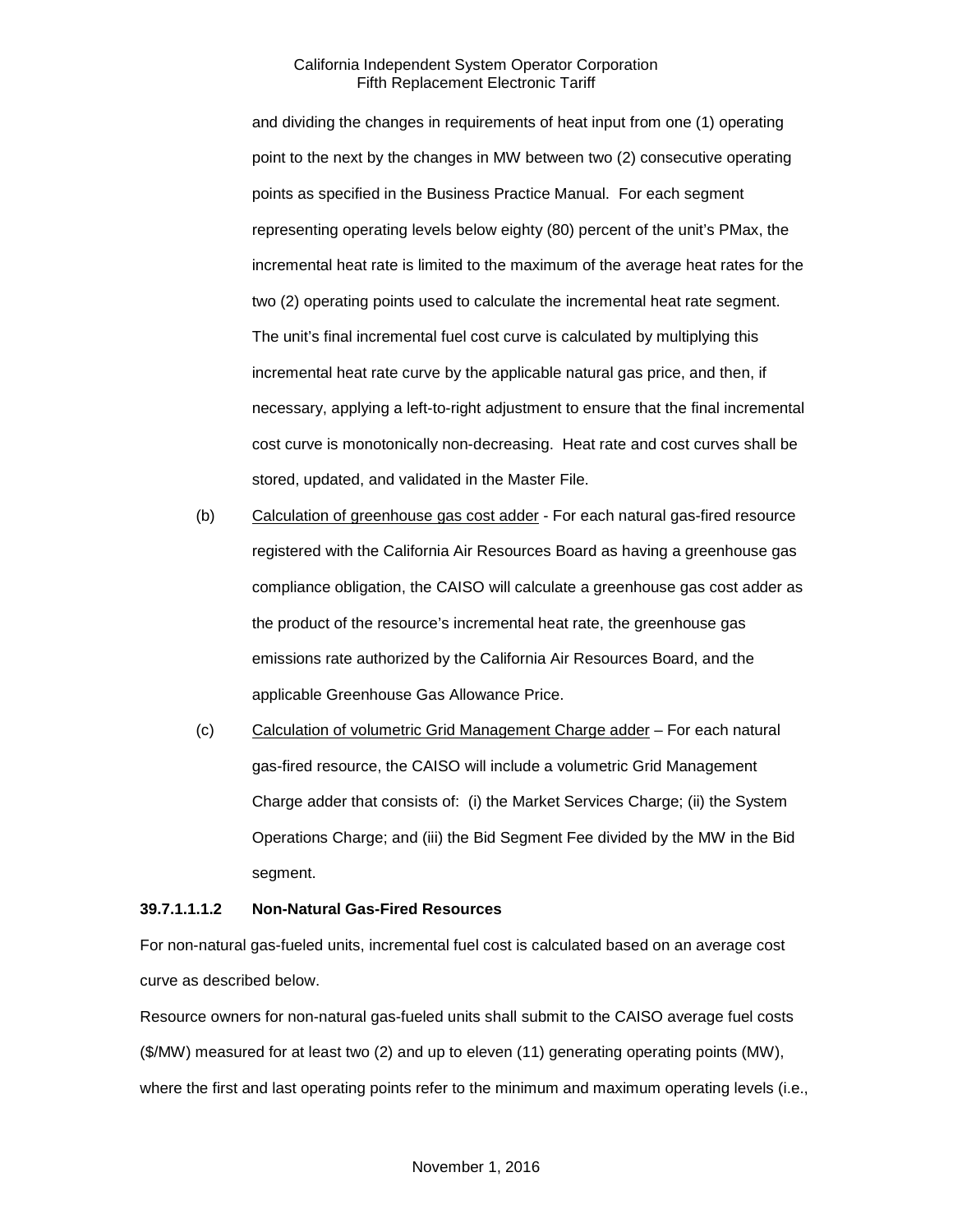and dividing the changes in requirements of heat input from one (1) operating point to the next by the changes in MW between two (2) consecutive operating points as specified in the Business Practice Manual. For each segment representing operating levels below eighty (80) percent of the unit's PMax, the incremental heat rate is limited to the maximum of the average heat rates for the two (2) operating points used to calculate the incremental heat rate segment. The unit's final incremental fuel cost curve is calculated by multiplying this incremental heat rate curve by the applicable natural gas price, and then, if necessary, applying a left-to-right adjustment to ensure that the final incremental cost curve is monotonically non-decreasing. Heat rate and cost curves shall be stored, updated, and validated in the Master File.

- (b) Calculation of greenhouse gas cost adder For each natural gas-fired resource registered with the California Air Resources Board as having a greenhouse gas compliance obligation, the CAISO will calculate a greenhouse gas cost adder as the product of the resource's incremental heat rate, the greenhouse gas emissions rate authorized by the California Air Resources Board, and the applicable Greenhouse Gas Allowance Price.
- (c) Calculation of volumetric Grid Management Charge adder For each natural gas-fired resource, the CAISO will include a volumetric Grid Management Charge adder that consists of: (i) the Market Services Charge; (ii) the System Operations Charge; and (iii) the Bid Segment Fee divided by the MW in the Bid segment.

#### **39.7.1.1.1.2 Non-Natural Gas-Fired Resources**

For non-natural gas-fueled units, incremental fuel cost is calculated based on an average cost curve as described below.

Resource owners for non-natural gas-fueled units shall submit to the CAISO average fuel costs (\$/MW) measured for at least two (2) and up to eleven (11) generating operating points (MW), where the first and last operating points refer to the minimum and maximum operating levels (i.e.,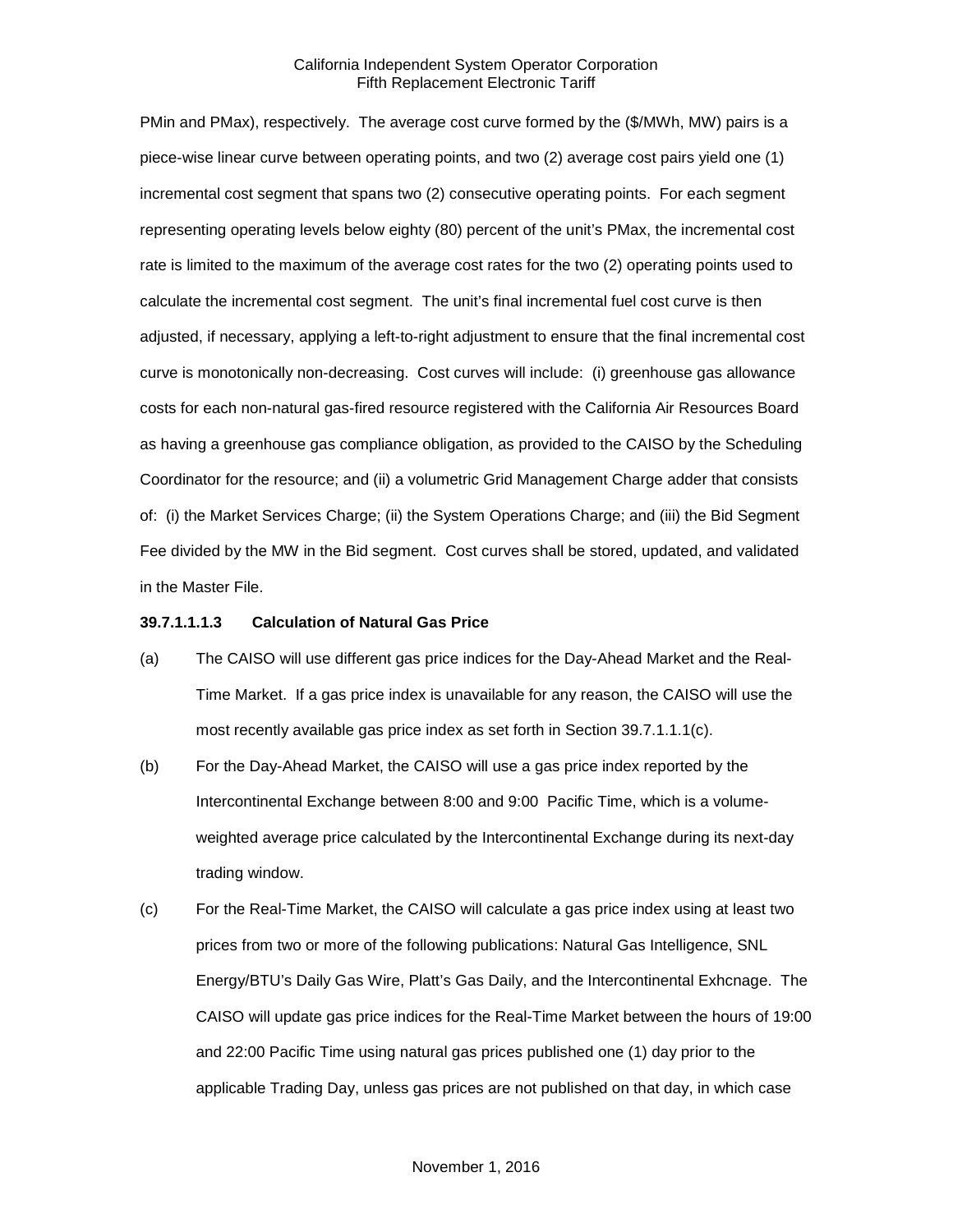PMin and PMax), respectively. The average cost curve formed by the (\$/MWh, MW) pairs is a piece-wise linear curve between operating points, and two (2) average cost pairs yield one (1) incremental cost segment that spans two (2) consecutive operating points. For each segment representing operating levels below eighty (80) percent of the unit's PMax, the incremental cost rate is limited to the maximum of the average cost rates for the two (2) operating points used to calculate the incremental cost segment. The unit's final incremental fuel cost curve is then adjusted, if necessary, applying a left-to-right adjustment to ensure that the final incremental cost curve is monotonically non-decreasing. Cost curves will include: (i) greenhouse gas allowance costs for each non-natural gas-fired resource registered with the California Air Resources Board as having a greenhouse gas compliance obligation, as provided to the CAISO by the Scheduling Coordinator for the resource; and (ii) a volumetric Grid Management Charge adder that consists of: (i) the Market Services Charge; (ii) the System Operations Charge; and (iii) the Bid Segment Fee divided by the MW in the Bid segment. Cost curves shall be stored, updated, and validated in the Master File.

#### **39.7.1.1.1.3 Calculation of Natural Gas Price**

- (a) The CAISO will use different gas price indices for the Day-Ahead Market and the Real-Time Market. If a gas price index is unavailable for any reason, the CAISO will use the most recently available gas price index as set forth in Section 39.7.1.1.1(c).
- (b) For the Day-Ahead Market, the CAISO will use a gas price index reported by the Intercontinental Exchange between 8:00 and 9:00 Pacific Time, which is a volumeweighted average price calculated by the Intercontinental Exchange during its next-day trading window.
- (c) For the Real-Time Market, the CAISO will calculate a gas price index using at least two prices from two or more of the following publications: Natural Gas Intelligence, SNL Energy/BTU's Daily Gas Wire, Platt's Gas Daily, and the Intercontinental Exhcnage. The CAISO will update gas price indices for the Real-Time Market between the hours of 19:00 and 22:00 Pacific Time using natural gas prices published one (1) day prior to the applicable Trading Day, unless gas prices are not published on that day, in which case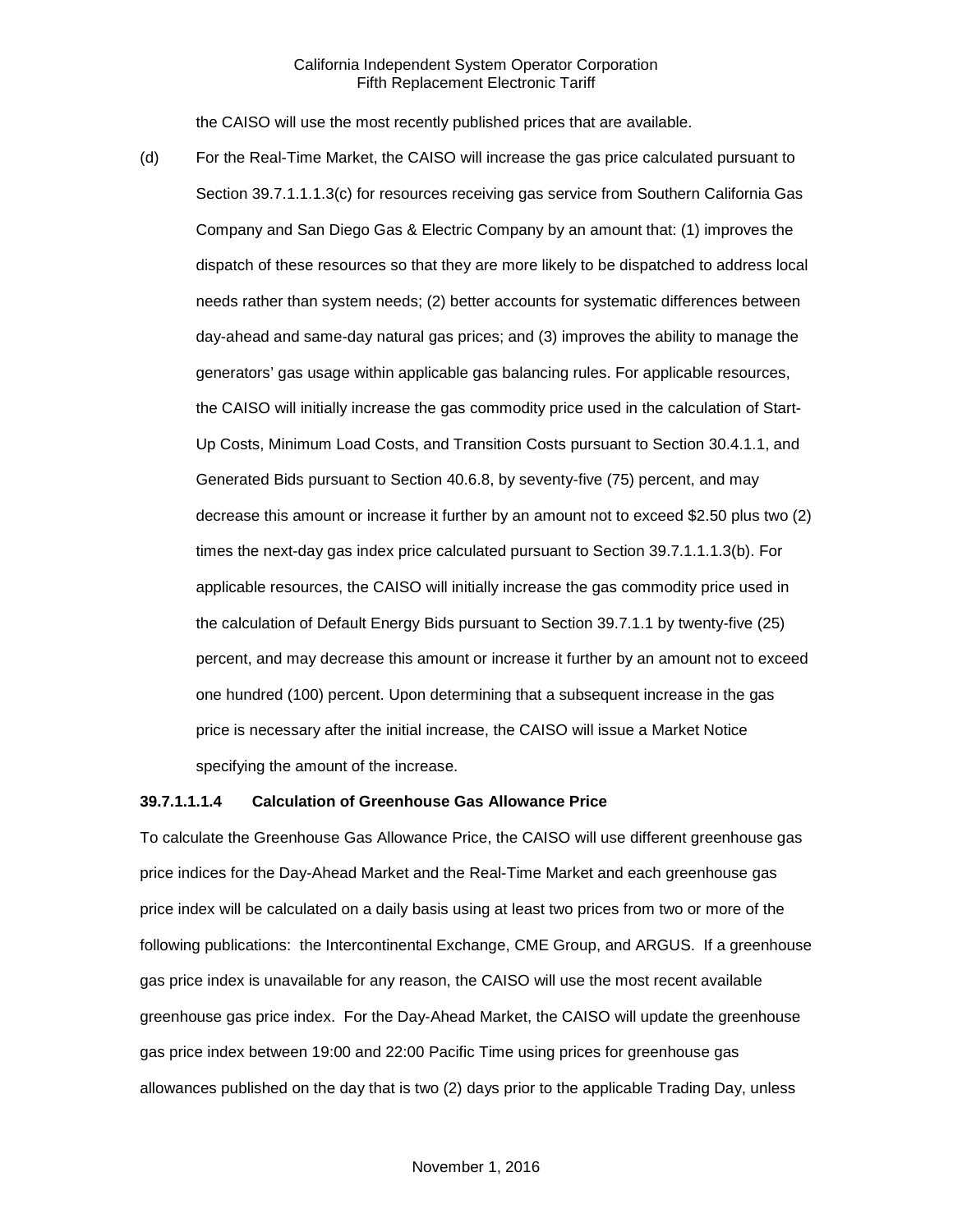the CAISO will use the most recently published prices that are available.

(d) For the Real-Time Market, the CAISO will increase the gas price calculated pursuant to Section 39.7.1.1.1.3(c) for resources receiving gas service from Southern California Gas Company and San Diego Gas & Electric Company by an amount that: (1) improves the dispatch of these resources so that they are more likely to be dispatched to address local needs rather than system needs; (2) better accounts for systematic differences between day-ahead and same-day natural gas prices; and (3) improves the ability to manage the generators' gas usage within applicable gas balancing rules. For applicable resources, the CAISO will initially increase the gas commodity price used in the calculation of Start-Up Costs, Minimum Load Costs, and Transition Costs pursuant to Section 30.4.1.1, and Generated Bids pursuant to Section 40.6.8, by seventy-five (75) percent, and may decrease this amount or increase it further by an amount not to exceed \$2.50 plus two (2) times the next-day gas index price calculated pursuant to Section 39.7.1.1.1.3(b). For applicable resources, the CAISO will initially increase the gas commodity price used in the calculation of Default Energy Bids pursuant to Section 39.7.1.1 by twenty-five (25) percent, and may decrease this amount or increase it further by an amount not to exceed one hundred (100) percent. Upon determining that a subsequent increase in the gas price is necessary after the initial increase, the CAISO will issue a Market Notice specifying the amount of the increase.

#### **39.7.1.1.1.4 Calculation of Greenhouse Gas Allowance Price**

To calculate the Greenhouse Gas Allowance Price, the CAISO will use different greenhouse gas price indices for the Day-Ahead Market and the Real-Time Market and each greenhouse gas price index will be calculated on a daily basis using at least two prices from two or more of the following publications: the Intercontinental Exchange, CME Group, and ARGUS. If a greenhouse gas price index is unavailable for any reason, the CAISO will use the most recent available greenhouse gas price index. For the Day-Ahead Market, the CAISO will update the greenhouse gas price index between 19:00 and 22:00 Pacific Time using prices for greenhouse gas allowances published on the day that is two (2) days prior to the applicable Trading Day, unless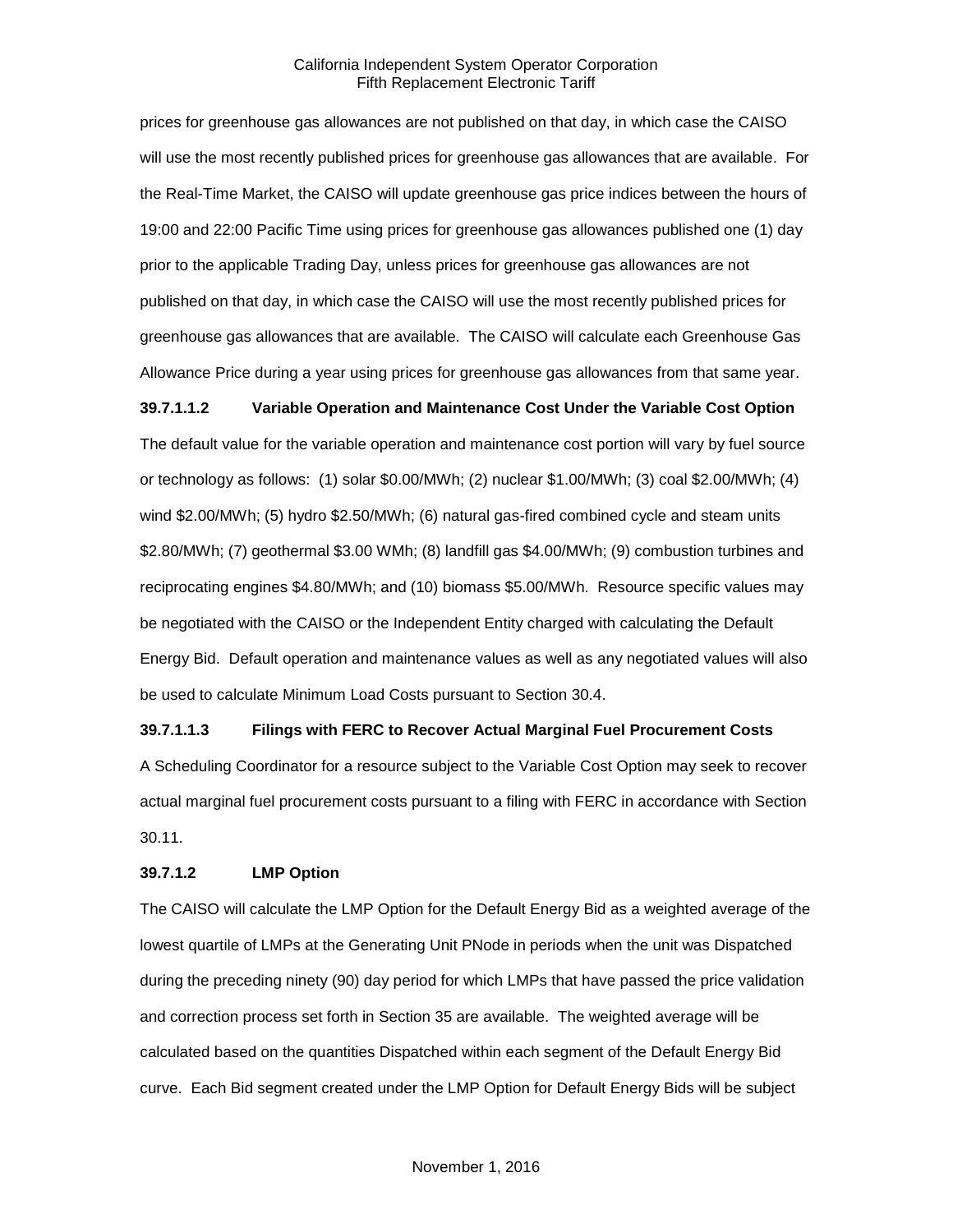prices for greenhouse gas allowances are not published on that day, in which case the CAISO will use the most recently published prices for greenhouse gas allowances that are available. For the Real-Time Market, the CAISO will update greenhouse gas price indices between the hours of 19:00 and 22:00 Pacific Time using prices for greenhouse gas allowances published one (1) day prior to the applicable Trading Day, unless prices for greenhouse gas allowances are not published on that day, in which case the CAISO will use the most recently published prices for greenhouse gas allowances that are available. The CAISO will calculate each Greenhouse Gas Allowance Price during a year using prices for greenhouse gas allowances from that same year.

#### **39.7.1.1.2 Variable Operation and Maintenance Cost Under the Variable Cost Option**

The default value for the variable operation and maintenance cost portion will vary by fuel source or technology as follows: (1) solar \$0.00/MWh; (2) nuclear \$1.00/MWh; (3) coal \$2.00/MWh; (4) wind \$2.00/MWh; (5) hydro \$2.50/MWh; (6) natural gas-fired combined cycle and steam units \$2.80/MWh; (7) geothermal \$3.00 WMh; (8) landfill gas \$4.00/MWh; (9) combustion turbines and reciprocating engines \$4.80/MWh; and (10) biomass \$5.00/MWh. Resource specific values may be negotiated with the CAISO or the Independent Entity charged with calculating the Default Energy Bid. Default operation and maintenance values as well as any negotiated values will also be used to calculate Minimum Load Costs pursuant to Section 30.4.

#### **39.7.1.1.3 Filings with FERC to Recover Actual Marginal Fuel Procurement Costs**

A Scheduling Coordinator for a resource subject to the Variable Cost Option may seek to recover actual marginal fuel procurement costs pursuant to a filing with FERC in accordance with Section 30.11.

#### **39.7.1.2 LMP Option**

The CAISO will calculate the LMP Option for the Default Energy Bid as a weighted average of the lowest quartile of LMPs at the Generating Unit PNode in periods when the unit was Dispatched during the preceding ninety (90) day period for which LMPs that have passed the price validation and correction process set forth in Section 35 are available. The weighted average will be calculated based on the quantities Dispatched within each segment of the Default Energy Bid curve. Each Bid segment created under the LMP Option for Default Energy Bids will be subject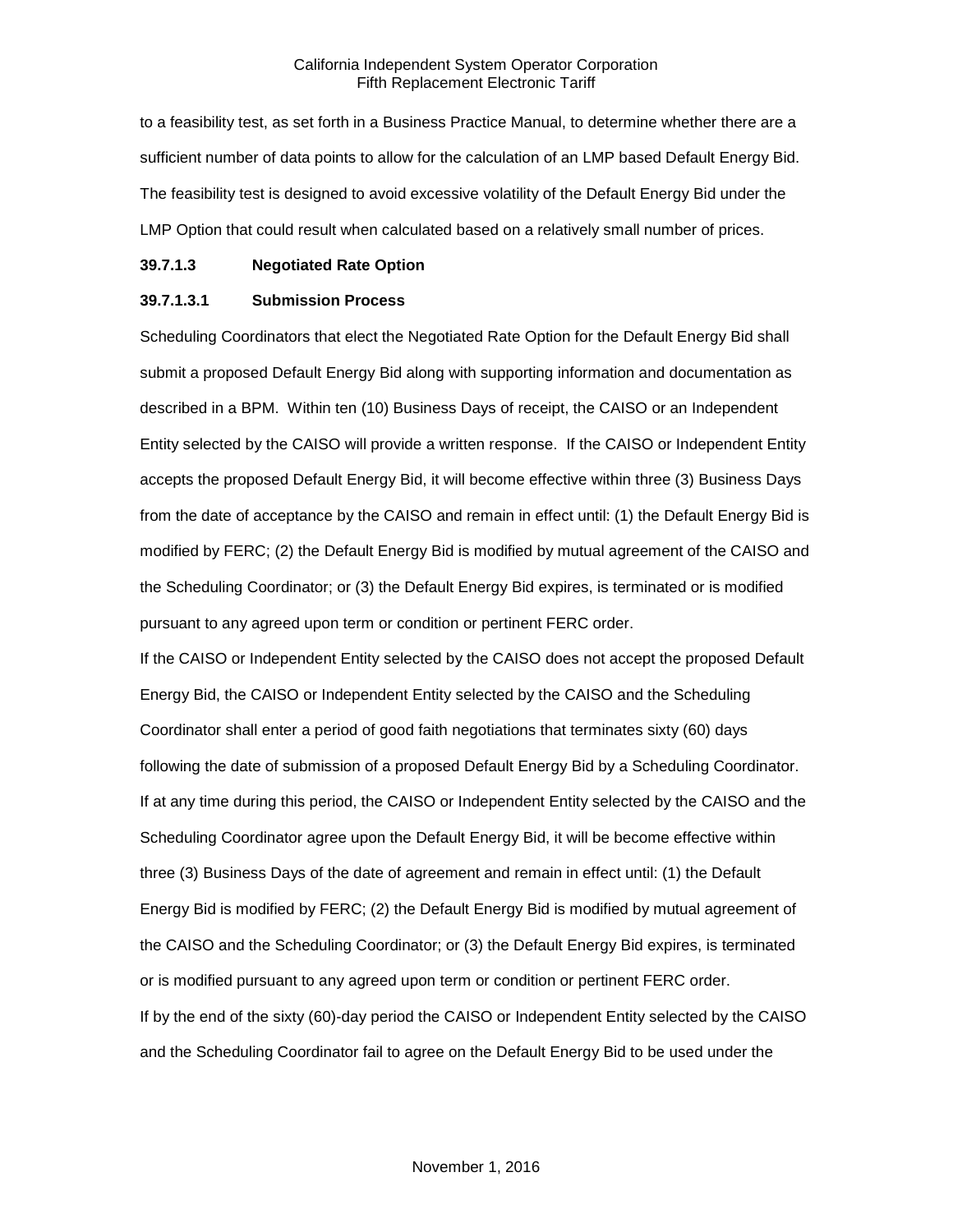to a feasibility test, as set forth in a Business Practice Manual, to determine whether there are a sufficient number of data points to allow for the calculation of an LMP based Default Energy Bid. The feasibility test is designed to avoid excessive volatility of the Default Energy Bid under the LMP Option that could result when calculated based on a relatively small number of prices.

#### **39.7.1.3 Negotiated Rate Option**

#### **39.7.1.3.1 Submission Process**

Scheduling Coordinators that elect the Negotiated Rate Option for the Default Energy Bid shall submit a proposed Default Energy Bid along with supporting information and documentation as described in a BPM. Within ten (10) Business Days of receipt, the CAISO or an Independent Entity selected by the CAISO will provide a written response. If the CAISO or Independent Entity accepts the proposed Default Energy Bid, it will become effective within three (3) Business Days from the date of acceptance by the CAISO and remain in effect until: (1) the Default Energy Bid is modified by FERC; (2) the Default Energy Bid is modified by mutual agreement of the CAISO and the Scheduling Coordinator; or (3) the Default Energy Bid expires, is terminated or is modified pursuant to any agreed upon term or condition or pertinent FERC order.

If the CAISO or Independent Entity selected by the CAISO does not accept the proposed Default Energy Bid, the CAISO or Independent Entity selected by the CAISO and the Scheduling Coordinator shall enter a period of good faith negotiations that terminates sixty (60) days following the date of submission of a proposed Default Energy Bid by a Scheduling Coordinator. If at any time during this period, the CAISO or Independent Entity selected by the CAISO and the Scheduling Coordinator agree upon the Default Energy Bid, it will be become effective within three (3) Business Days of the date of agreement and remain in effect until: (1) the Default Energy Bid is modified by FERC; (2) the Default Energy Bid is modified by mutual agreement of the CAISO and the Scheduling Coordinator; or (3) the Default Energy Bid expires, is terminated or is modified pursuant to any agreed upon term or condition or pertinent FERC order. If by the end of the sixty (60)-day period the CAISO or Independent Entity selected by the CAISO and the Scheduling Coordinator fail to agree on the Default Energy Bid to be used under the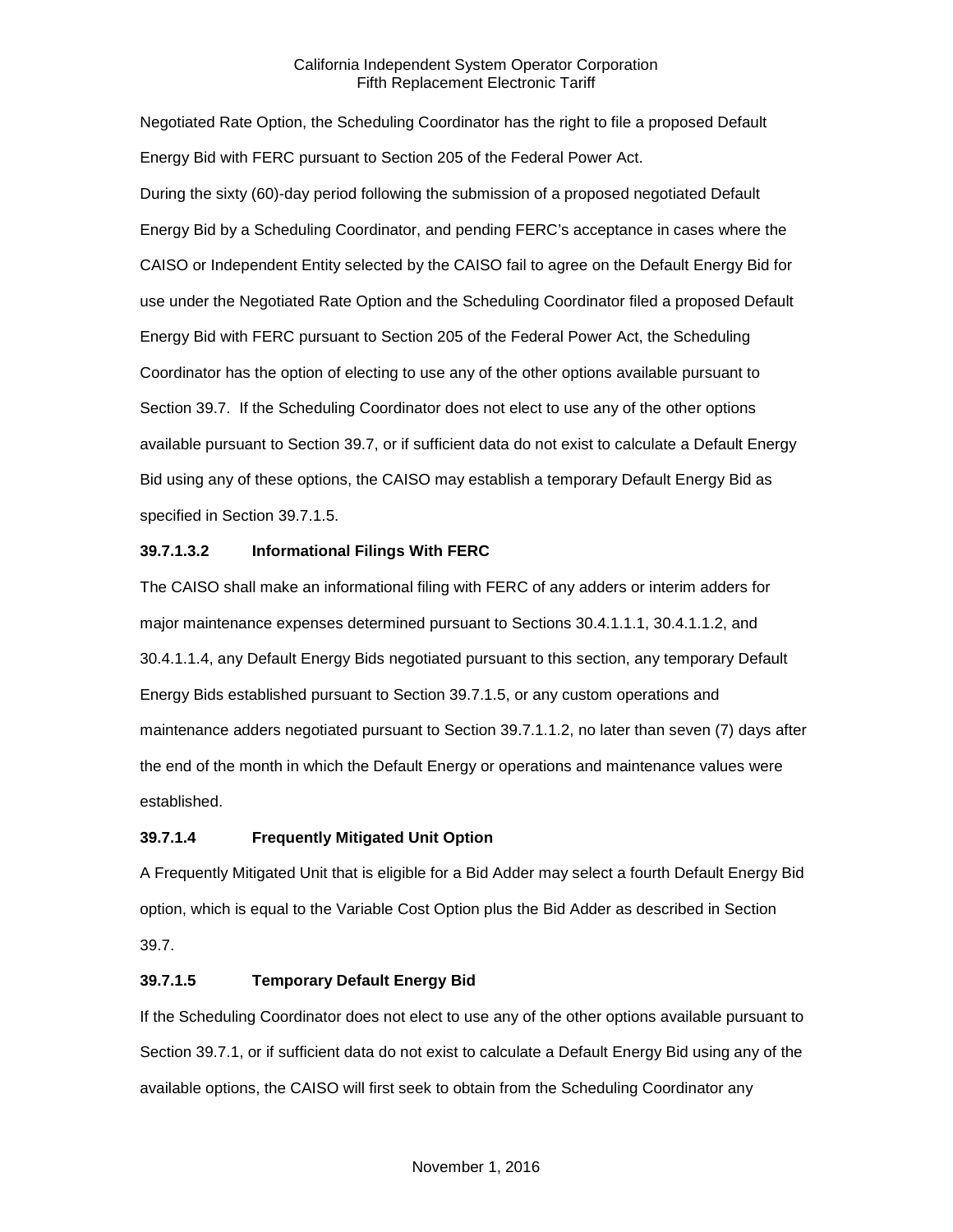Negotiated Rate Option, the Scheduling Coordinator has the right to file a proposed Default Energy Bid with FERC pursuant to Section 205 of the Federal Power Act. During the sixty (60)-day period following the submission of a proposed negotiated Default Energy Bid by a Scheduling Coordinator, and pending FERC's acceptance in cases where the CAISO or Independent Entity selected by the CAISO fail to agree on the Default Energy Bid for use under the Negotiated Rate Option and the Scheduling Coordinator filed a proposed Default Energy Bid with FERC pursuant to Section 205 of the Federal Power Act, the Scheduling Coordinator has the option of electing to use any of the other options available pursuant to Section 39.7. If the Scheduling Coordinator does not elect to use any of the other options available pursuant to Section 39.7, or if sufficient data do not exist to calculate a Default Energy Bid using any of these options, the CAISO may establish a temporary Default Energy Bid as specified in Section 39.7.1.5.

# **39.7.1.3.2 Informational Filings With FERC**

The CAISO shall make an informational filing with FERC of any adders or interim adders for major maintenance expenses determined pursuant to Sections 30.4.1.1.1, 30.4.1.1.2, and 30.4.1.1.4, any Default Energy Bids negotiated pursuant to this section, any temporary Default Energy Bids established pursuant to Section 39.7.1.5, or any custom operations and maintenance adders negotiated pursuant to Section 39.7.1.1.2, no later than seven (7) days after the end of the month in which the Default Energy or operations and maintenance values were established.

#### **39.7.1.4 Frequently Mitigated Unit Option**

A Frequently Mitigated Unit that is eligible for a Bid Adder may select a fourth Default Energy Bid option, which is equal to the Variable Cost Option plus the Bid Adder as described in Section 39.7.

# **39.7.1.5 Temporary Default Energy Bid**

If the Scheduling Coordinator does not elect to use any of the other options available pursuant to Section 39.7.1, or if sufficient data do not exist to calculate a Default Energy Bid using any of the available options, the CAISO will first seek to obtain from the Scheduling Coordinator any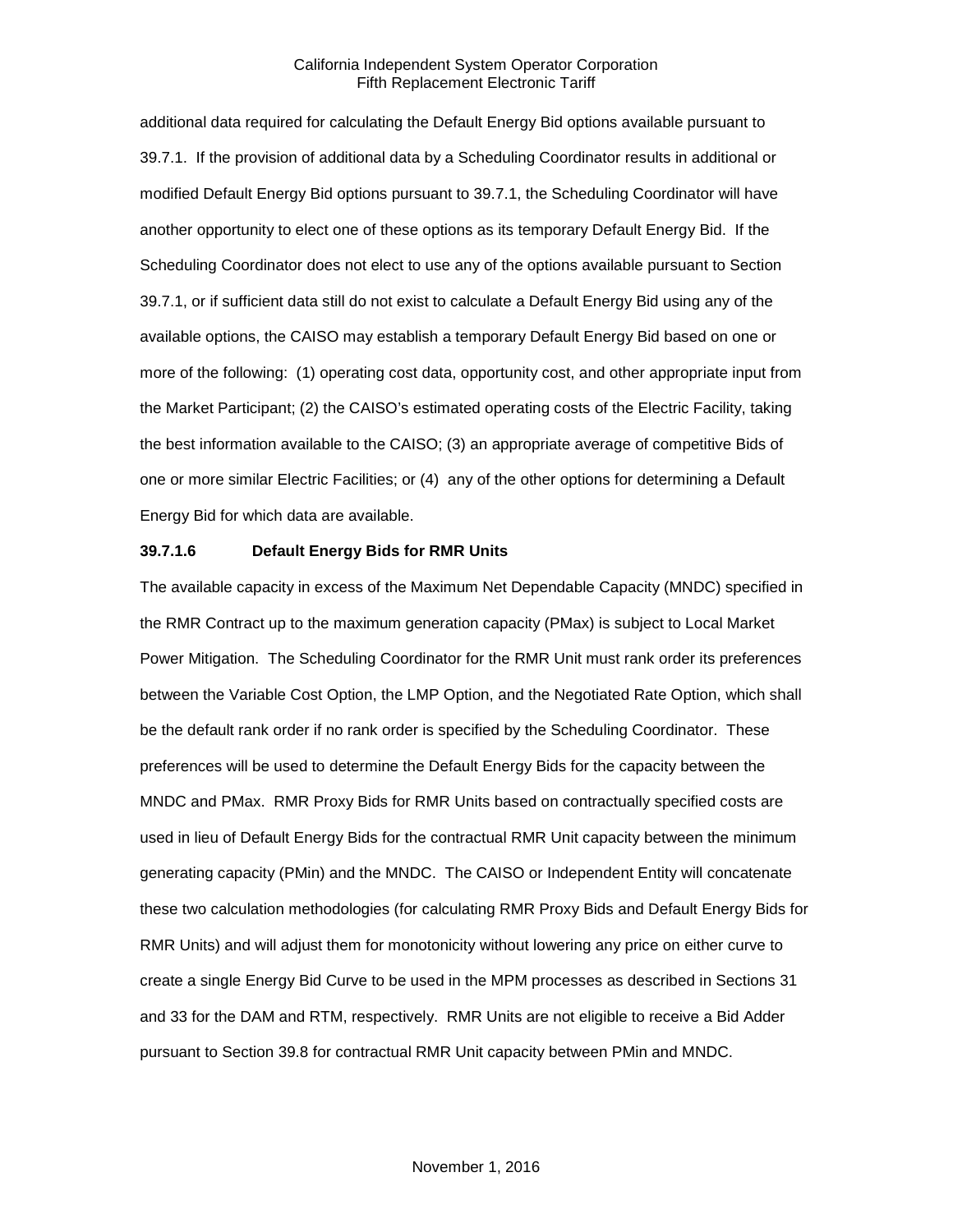additional data required for calculating the Default Energy Bid options available pursuant to 39.7.1. If the provision of additional data by a Scheduling Coordinator results in additional or modified Default Energy Bid options pursuant to 39.7.1, the Scheduling Coordinator will have another opportunity to elect one of these options as its temporary Default Energy Bid. If the Scheduling Coordinator does not elect to use any of the options available pursuant to Section 39.7.1, or if sufficient data still do not exist to calculate a Default Energy Bid using any of the available options, the CAISO may establish a temporary Default Energy Bid based on one or more of the following: (1) operating cost data, opportunity cost, and other appropriate input from the Market Participant; (2) the CAISO's estimated operating costs of the Electric Facility, taking the best information available to the CAISO; (3) an appropriate average of competitive Bids of one or more similar Electric Facilities; or (4) any of the other options for determining a Default Energy Bid for which data are available.

#### **39.7.1.6 Default Energy Bids for RMR Units**

The available capacity in excess of the Maximum Net Dependable Capacity (MNDC) specified in the RMR Contract up to the maximum generation capacity (PMax) is subject to Local Market Power Mitigation. The Scheduling Coordinator for the RMR Unit must rank order its preferences between the Variable Cost Option, the LMP Option, and the Negotiated Rate Option, which shall be the default rank order if no rank order is specified by the Scheduling Coordinator. These preferences will be used to determine the Default Energy Bids for the capacity between the MNDC and PMax. RMR Proxy Bids for RMR Units based on contractually specified costs are used in lieu of Default Energy Bids for the contractual RMR Unit capacity between the minimum generating capacity (PMin) and the MNDC. The CAISO or Independent Entity will concatenate these two calculation methodologies (for calculating RMR Proxy Bids and Default Energy Bids for RMR Units) and will adjust them for monotonicity without lowering any price on either curve to create a single Energy Bid Curve to be used in the MPM processes as described in Sections 31 and 33 for the DAM and RTM, respectively. RMR Units are not eligible to receive a Bid Adder pursuant to Section 39.8 for contractual RMR Unit capacity between PMin and MNDC.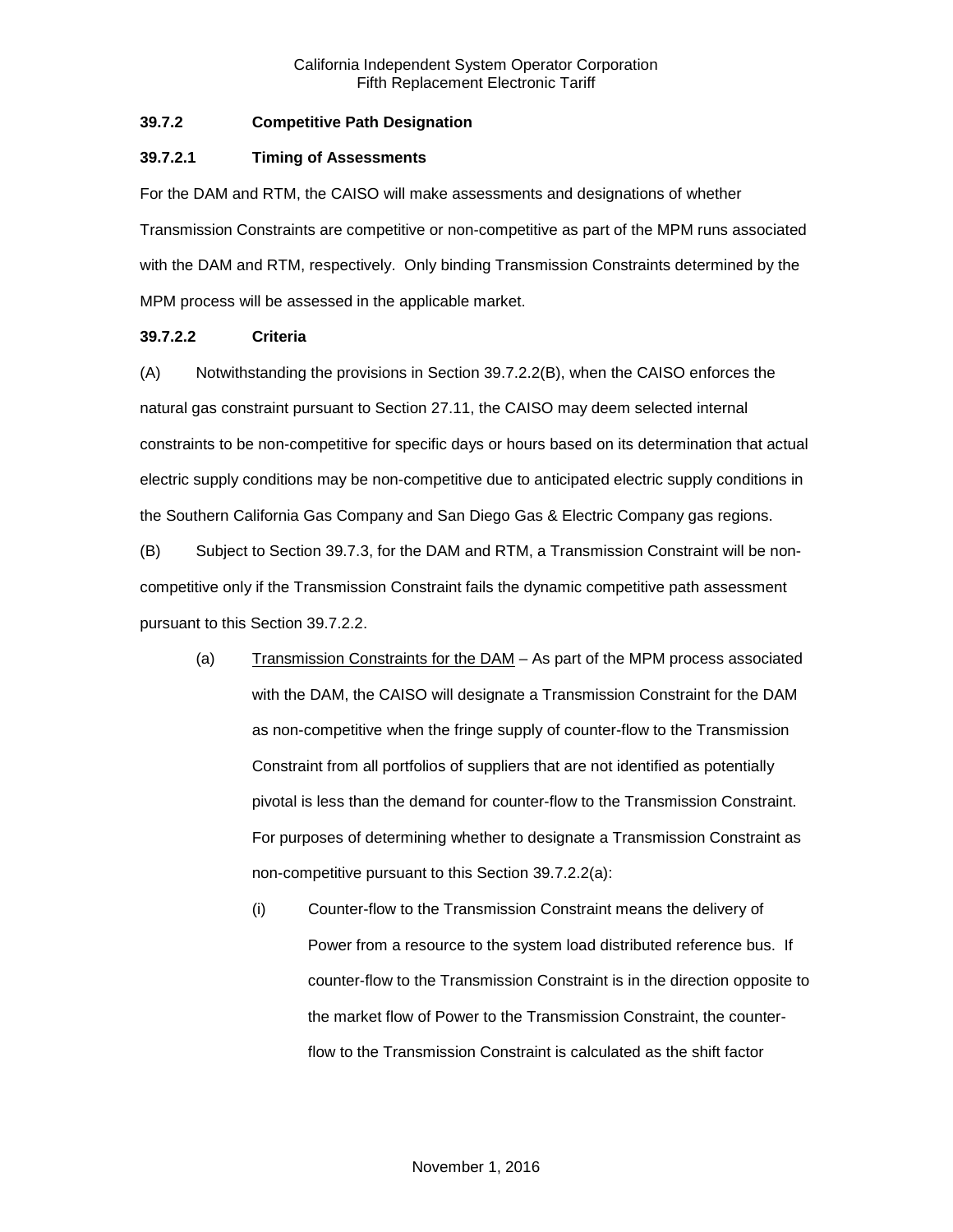# <span id="page-16-0"></span>**39.7.2 Competitive Path Designation**

#### **39.7.2.1 Timing of Assessments**

For the DAM and RTM, the CAISO will make assessments and designations of whether Transmission Constraints are competitive or non-competitive as part of the MPM runs associated with the DAM and RTM, respectively. Only binding Transmission Constraints determined by the MPM process will be assessed in the applicable market.

#### **39.7.2.2 Criteria**

(A) Notwithstanding the provisions in Section 39.7.2.2(B), when the CAISO enforces the natural gas constraint pursuant to Section 27.11, the CAISO may deem selected internal constraints to be non-competitive for specific days or hours based on its determination that actual electric supply conditions may be non-competitive due to anticipated electric supply conditions in the Southern California Gas Company and San Diego Gas & Electric Company gas regions.

(B) Subject to Section 39.7.3, for the DAM and RTM, a Transmission Constraint will be noncompetitive only if the Transmission Constraint fails the dynamic competitive path assessment pursuant to this Section 39.7.2.2.

- (a) Transmission Constraints for the DAM As part of the MPM process associated with the DAM, the CAISO will designate a Transmission Constraint for the DAM as non-competitive when the fringe supply of counter-flow to the Transmission Constraint from all portfolios of suppliers that are not identified as potentially pivotal is less than the demand for counter-flow to the Transmission Constraint. For purposes of determining whether to designate a Transmission Constraint as non-competitive pursuant to this Section 39.7.2.2(a):
	- (i) Counter-flow to the Transmission Constraint means the delivery of Power from a resource to the system load distributed reference bus. If counter-flow to the Transmission Constraint is in the direction opposite to the market flow of Power to the Transmission Constraint, the counterflow to the Transmission Constraint is calculated as the shift factor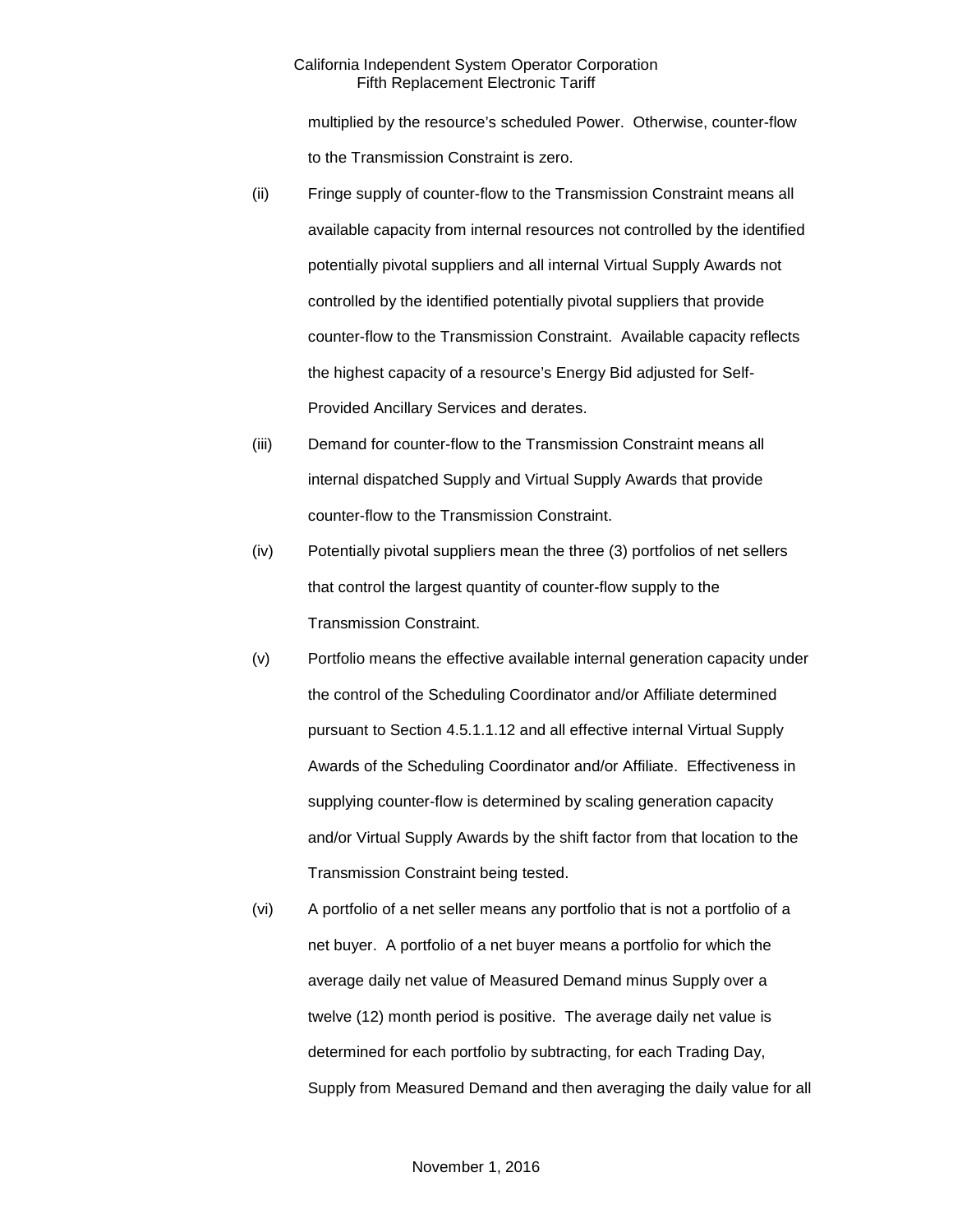multiplied by the resource's scheduled Power. Otherwise, counter-flow to the Transmission Constraint is zero.

- (ii) Fringe supply of counter-flow to the Transmission Constraint means all available capacity from internal resources not controlled by the identified potentially pivotal suppliers and all internal Virtual Supply Awards not controlled by the identified potentially pivotal suppliers that provide counter-flow to the Transmission Constraint. Available capacity reflects the highest capacity of a resource's Energy Bid adjusted for Self-Provided Ancillary Services and derates.
- (iii) Demand for counter-flow to the Transmission Constraint means all internal dispatched Supply and Virtual Supply Awards that provide counter-flow to the Transmission Constraint.
- (iv) Potentially pivotal suppliers mean the three (3) portfolios of net sellers that control the largest quantity of counter-flow supply to the Transmission Constraint.
- (v) Portfolio means the effective available internal generation capacity under the control of the Scheduling Coordinator and/or Affiliate determined pursuant to Section 4.5.1.1.12 and all effective internal Virtual Supply Awards of the Scheduling Coordinator and/or Affiliate. Effectiveness in supplying counter-flow is determined by scaling generation capacity and/or Virtual Supply Awards by the shift factor from that location to the Transmission Constraint being tested.
- (vi) A portfolio of a net seller means any portfolio that is not a portfolio of a net buyer. A portfolio of a net buyer means a portfolio for which the average daily net value of Measured Demand minus Supply over a twelve (12) month period is positive. The average daily net value is determined for each portfolio by subtracting, for each Trading Day, Supply from Measured Demand and then averaging the daily value for all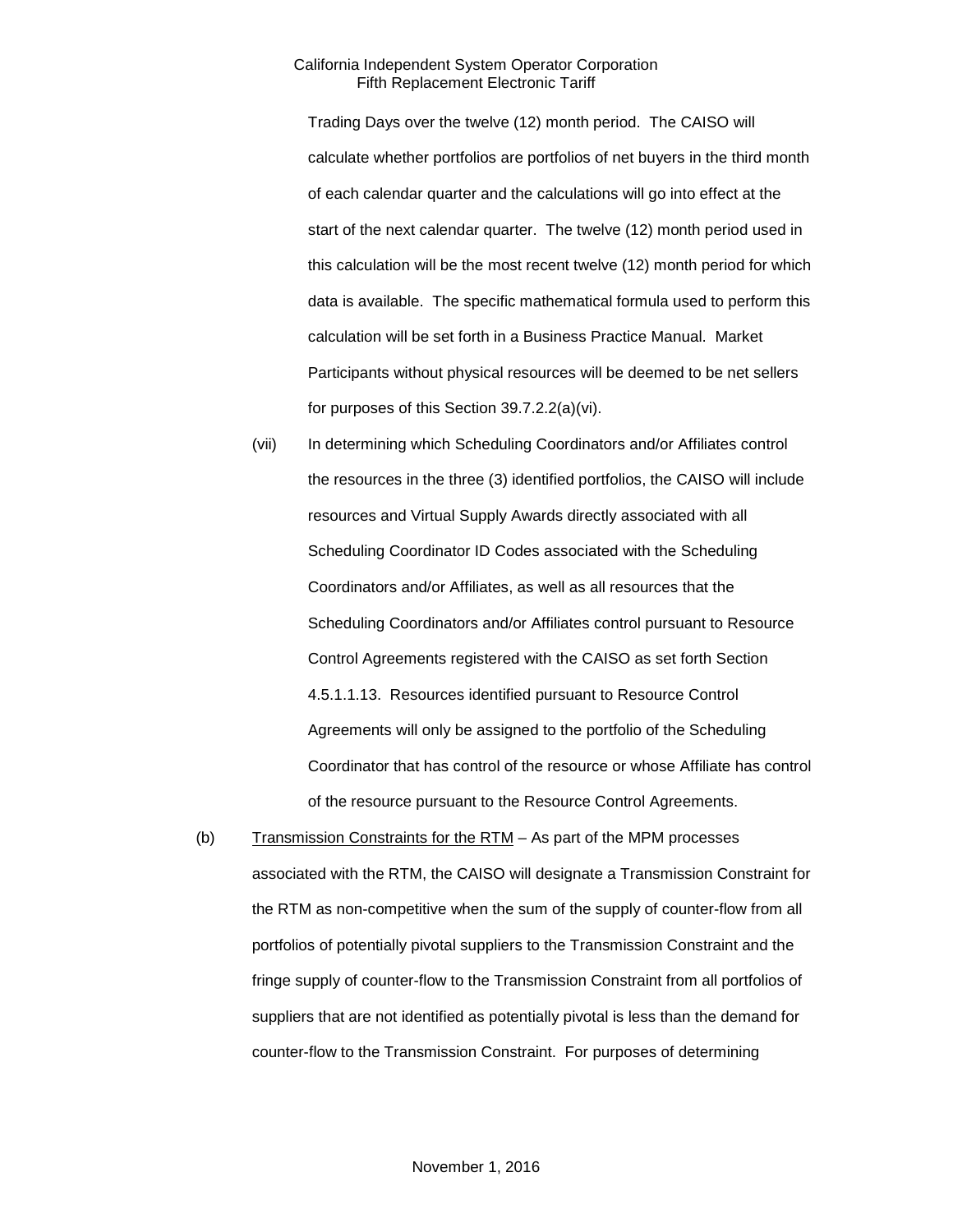Trading Days over the twelve (12) month period. The CAISO will calculate whether portfolios are portfolios of net buyers in the third month of each calendar quarter and the calculations will go into effect at the start of the next calendar quarter. The twelve (12) month period used in this calculation will be the most recent twelve (12) month period for which data is available. The specific mathematical formula used to perform this calculation will be set forth in a Business Practice Manual. Market Participants without physical resources will be deemed to be net sellers for purposes of this Section 39.7.2.2(a)(vi).

- (vii) In determining which Scheduling Coordinators and/or Affiliates control the resources in the three (3) identified portfolios, the CAISO will include resources and Virtual Supply Awards directly associated with all Scheduling Coordinator ID Codes associated with the Scheduling Coordinators and/or Affiliates, as well as all resources that the Scheduling Coordinators and/or Affiliates control pursuant to Resource Control Agreements registered with the CAISO as set forth Section 4.5.1.1.13. Resources identified pursuant to Resource Control Agreements will only be assigned to the portfolio of the Scheduling Coordinator that has control of the resource or whose Affiliate has control of the resource pursuant to the Resource Control Agreements.
- (b) Transmission Constraints for the  $RTM As$  part of the MPM processes associated with the RTM, the CAISO will designate a Transmission Constraint for the RTM as non-competitive when the sum of the supply of counter-flow from all portfolios of potentially pivotal suppliers to the Transmission Constraint and the fringe supply of counter-flow to the Transmission Constraint from all portfolios of suppliers that are not identified as potentially pivotal is less than the demand for counter-flow to the Transmission Constraint. For purposes of determining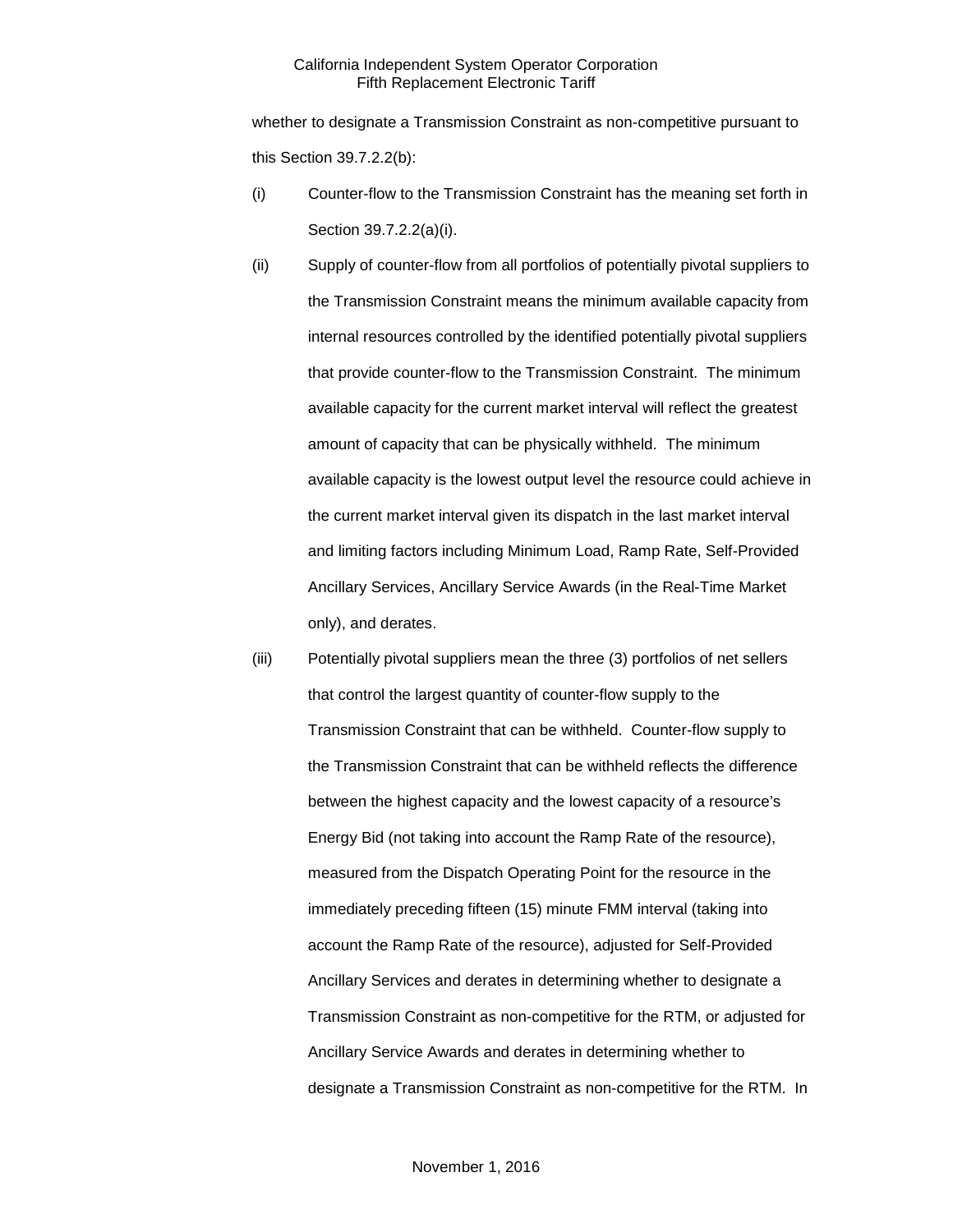whether to designate a Transmission Constraint as non-competitive pursuant to this Section 39.7.2.2(b):

- (i) Counter-flow to the Transmission Constraint has the meaning set forth in Section 39.7.2.2(a)(i).
- (ii) Supply of counter-flow from all portfolios of potentially pivotal suppliers to the Transmission Constraint means the minimum available capacity from internal resources controlled by the identified potentially pivotal suppliers that provide counter-flow to the Transmission Constraint. The minimum available capacity for the current market interval will reflect the greatest amount of capacity that can be physically withheld. The minimum available capacity is the lowest output level the resource could achieve in the current market interval given its dispatch in the last market interval and limiting factors including Minimum Load, Ramp Rate, Self-Provided Ancillary Services, Ancillary Service Awards (in the Real-Time Market only), and derates.
- (iii) Potentially pivotal suppliers mean the three (3) portfolios of net sellers that control the largest quantity of counter-flow supply to the Transmission Constraint that can be withheld. Counter-flow supply to the Transmission Constraint that can be withheld reflects the difference between the highest capacity and the lowest capacity of a resource's Energy Bid (not taking into account the Ramp Rate of the resource), measured from the Dispatch Operating Point for the resource in the immediately preceding fifteen (15) minute FMM interval (taking into account the Ramp Rate of the resource), adjusted for Self-Provided Ancillary Services and derates in determining whether to designate a Transmission Constraint as non-competitive for the RTM, or adjusted for Ancillary Service Awards and derates in determining whether to designate a Transmission Constraint as non-competitive for the RTM. In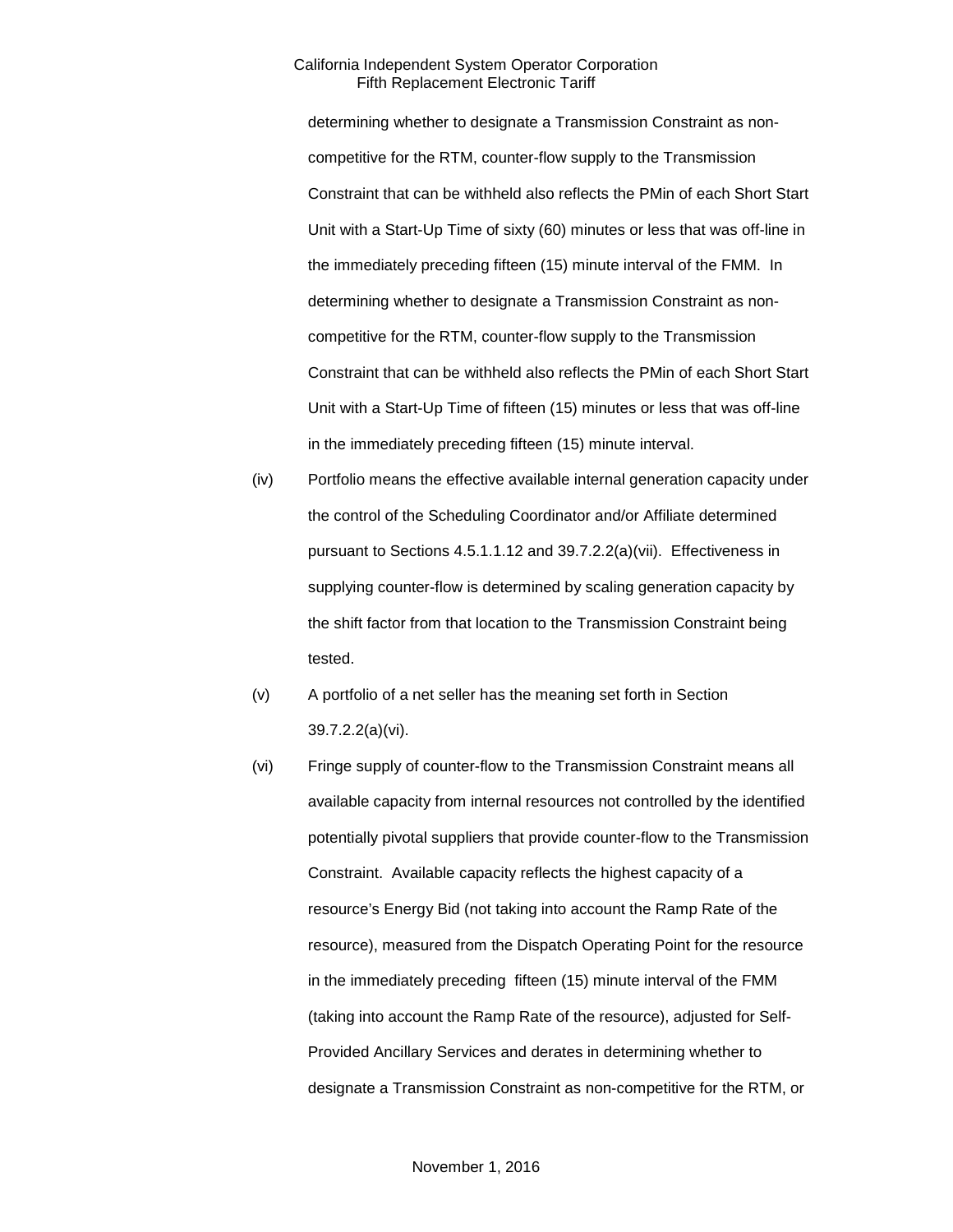determining whether to designate a Transmission Constraint as noncompetitive for the RTM, counter-flow supply to the Transmission Constraint that can be withheld also reflects the PMin of each Short Start Unit with a Start-Up Time of sixty (60) minutes or less that was off-line in the immediately preceding fifteen (15) minute interval of the FMM. In determining whether to designate a Transmission Constraint as noncompetitive for the RTM, counter-flow supply to the Transmission Constraint that can be withheld also reflects the PMin of each Short Start Unit with a Start-Up Time of fifteen (15) minutes or less that was off-line in the immediately preceding fifteen (15) minute interval.

- (iv) Portfolio means the effective available internal generation capacity under the control of the Scheduling Coordinator and/or Affiliate determined pursuant to Sections 4.5.1.1.12 and 39.7.2.2(a)(vii). Effectiveness in supplying counter-flow is determined by scaling generation capacity by the shift factor from that location to the Transmission Constraint being tested.
- (v) A portfolio of a net seller has the meaning set forth in Section 39.7.2.2(a)(vi).
- (vi) Fringe supply of counter-flow to the Transmission Constraint means all available capacity from internal resources not controlled by the identified potentially pivotal suppliers that provide counter-flow to the Transmission Constraint. Available capacity reflects the highest capacity of a resource's Energy Bid (not taking into account the Ramp Rate of the resource), measured from the Dispatch Operating Point for the resource in the immediately preceding fifteen (15) minute interval of the FMM (taking into account the Ramp Rate of the resource), adjusted for Self-Provided Ancillary Services and derates in determining whether to designate a Transmission Constraint as non-competitive for the RTM, or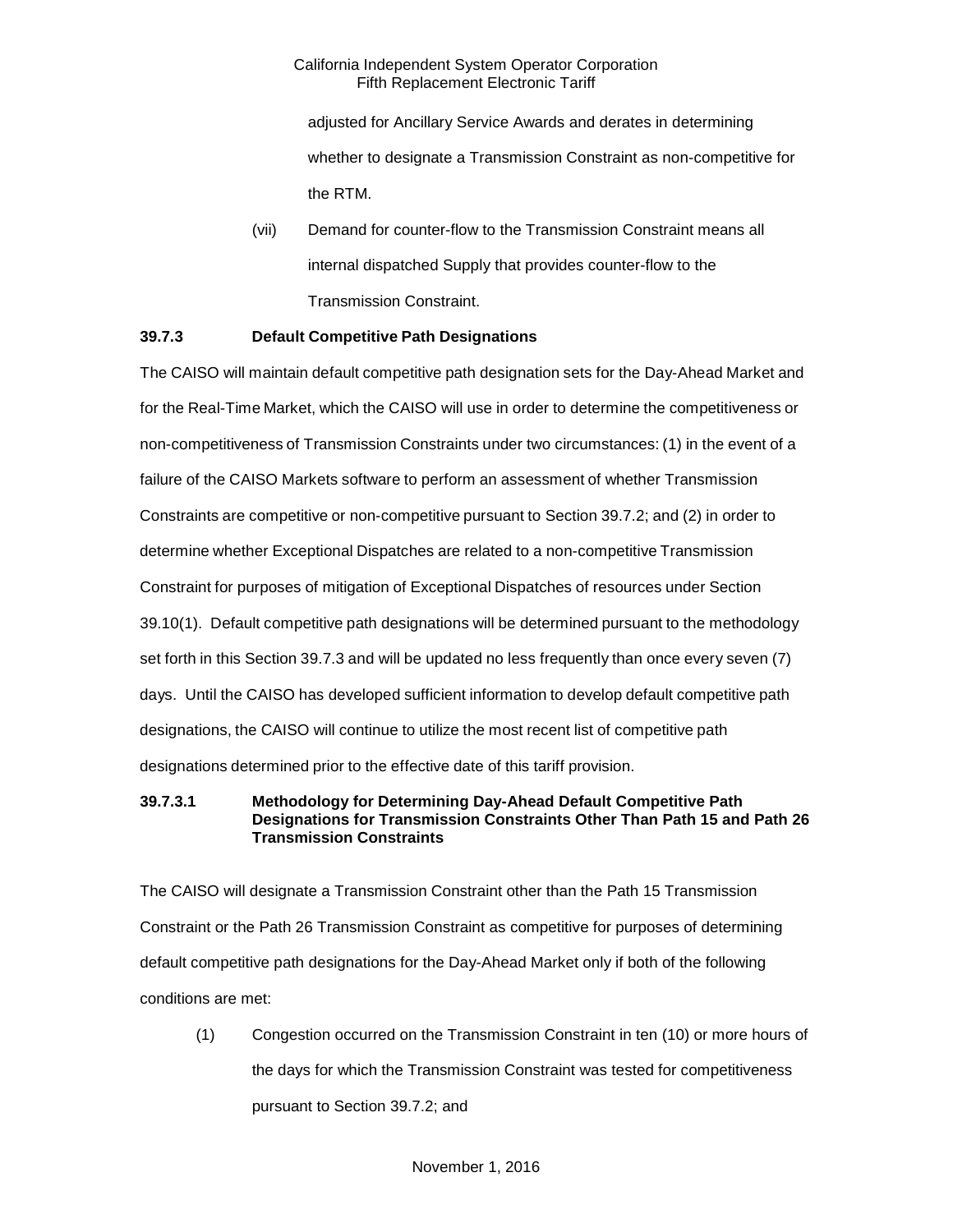adjusted for Ancillary Service Awards and derates in determining whether to designate a Transmission Constraint as non-competitive for the RTM.

(vii) Demand for counter-flow to the Transmission Constraint means all internal dispatched Supply that provides counter-flow to the Transmission Constraint.

# <span id="page-21-0"></span>**39.7.3 Default Competitive Path Designations**

The CAISO will maintain default competitive path designation sets for the Day-Ahead Market and for the Real-Time Market, which the CAISO will use in order to determine the competitiveness or non-competitiveness of Transmission Constraints under two circumstances: (1) in the event of a failure of the CAISO Markets software to perform an assessment of whether Transmission Constraints are competitive or non-competitive pursuant to Section 39.7.2; and (2) in order to determine whether Exceptional Dispatches are related to a non-competitive Transmission Constraint for purposes of mitigation of Exceptional Dispatches of resources under Section 39.10(1). Default competitive path designations will be determined pursuant to the methodology set forth in this Section 39.7.3 and will be updated no less frequently than once every seven (7) days. Until the CAISO has developed sufficient information to develop default competitive path designations, the CAISO will continue to utilize the most recent list of competitive path designations determined prior to the effective date of this tariff provision.

# **39.7.3.1 Methodology for Determining Day-Ahead Default Competitive Path Designations for Transmission Constraints Other Than Path 15 and Path 26 Transmission Constraints**

The CAISO will designate a Transmission Constraint other than the Path 15 Transmission Constraint or the Path 26 Transmission Constraint as competitive for purposes of determining default competitive path designations for the Day-Ahead Market only if both of the following conditions are met:

(1) Congestion occurred on the Transmission Constraint in ten (10) or more hours of the days for which the Transmission Constraint was tested for competitiveness pursuant to Section 39.7.2; and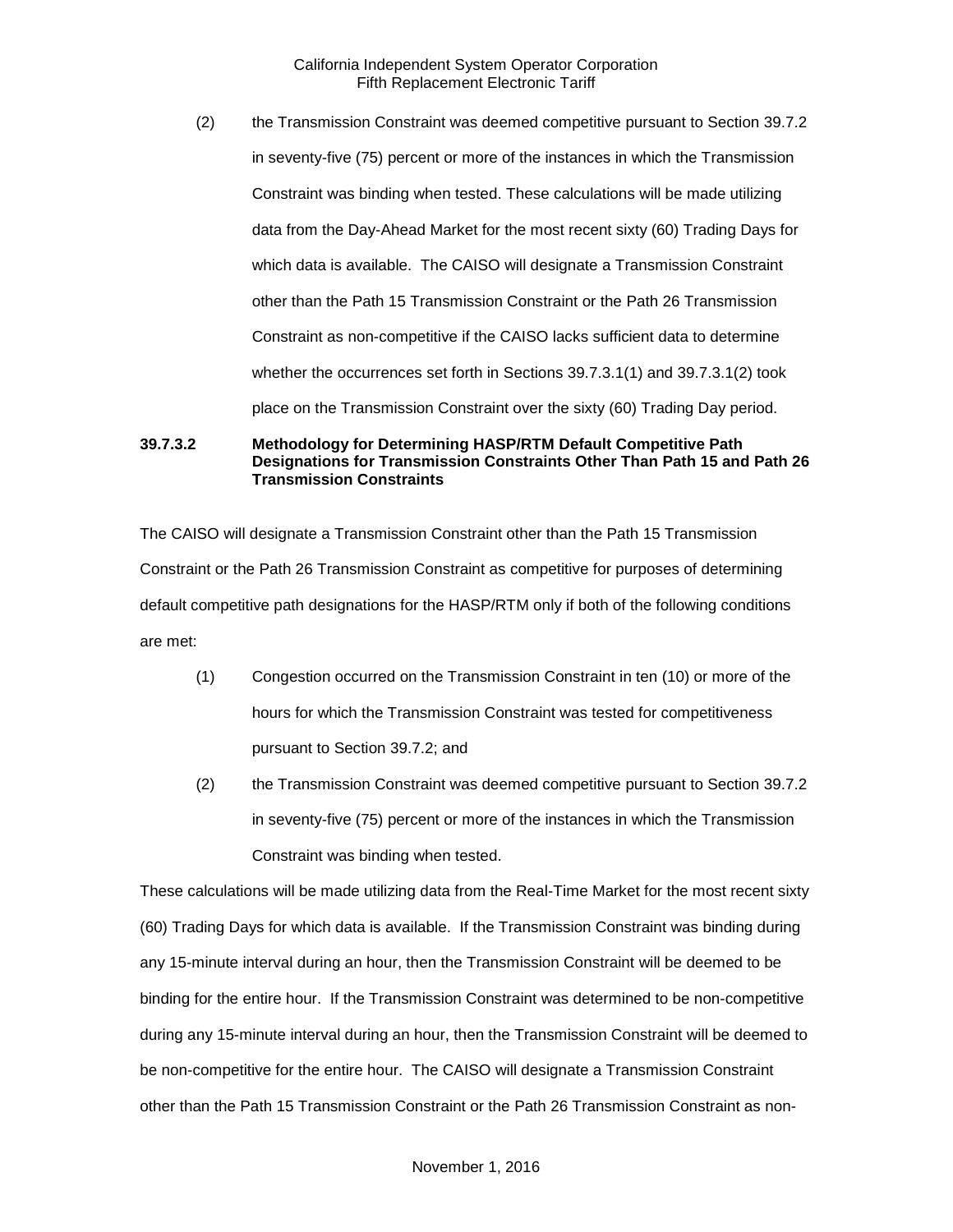(2) the Transmission Constraint was deemed competitive pursuant to Section 39.7.2 in seventy-five (75) percent or more of the instances in which the Transmission Constraint was binding when tested. These calculations will be made utilizing data from the Day-Ahead Market for the most recent sixty (60) Trading Days for which data is available. The CAISO will designate a Transmission Constraint other than the Path 15 Transmission Constraint or the Path 26 Transmission Constraint as non-competitive if the CAISO lacks sufficient data to determine whether the occurrences set forth in Sections 39.7.3.1(1) and 39.7.3.1(2) took place on the Transmission Constraint over the sixty (60) Trading Day period.

**39.7.3.2 Methodology for Determining HASP/RTM Default Competitive Path Designations for Transmission Constraints Other Than Path 15 and Path 26 Transmission Constraints**

The CAISO will designate a Transmission Constraint other than the Path 15 Transmission Constraint or the Path 26 Transmission Constraint as competitive for purposes of determining default competitive path designations for the HASP/RTM only if both of the following conditions are met:

- (1) Congestion occurred on the Transmission Constraint in ten (10) or more of the hours for which the Transmission Constraint was tested for competitiveness pursuant to Section 39.7.2; and
- (2) the Transmission Constraint was deemed competitive pursuant to Section 39.7.2 in seventy-five (75) percent or more of the instances in which the Transmission Constraint was binding when tested.

These calculations will be made utilizing data from the Real-Time Market for the most recent sixty (60) Trading Days for which data is available. If the Transmission Constraint was binding during any 15-minute interval during an hour, then the Transmission Constraint will be deemed to be binding for the entire hour. If the Transmission Constraint was determined to be non-competitive during any 15-minute interval during an hour, then the Transmission Constraint will be deemed to be non-competitive for the entire hour. The CAISO will designate a Transmission Constraint other than the Path 15 Transmission Constraint or the Path 26 Transmission Constraint as non-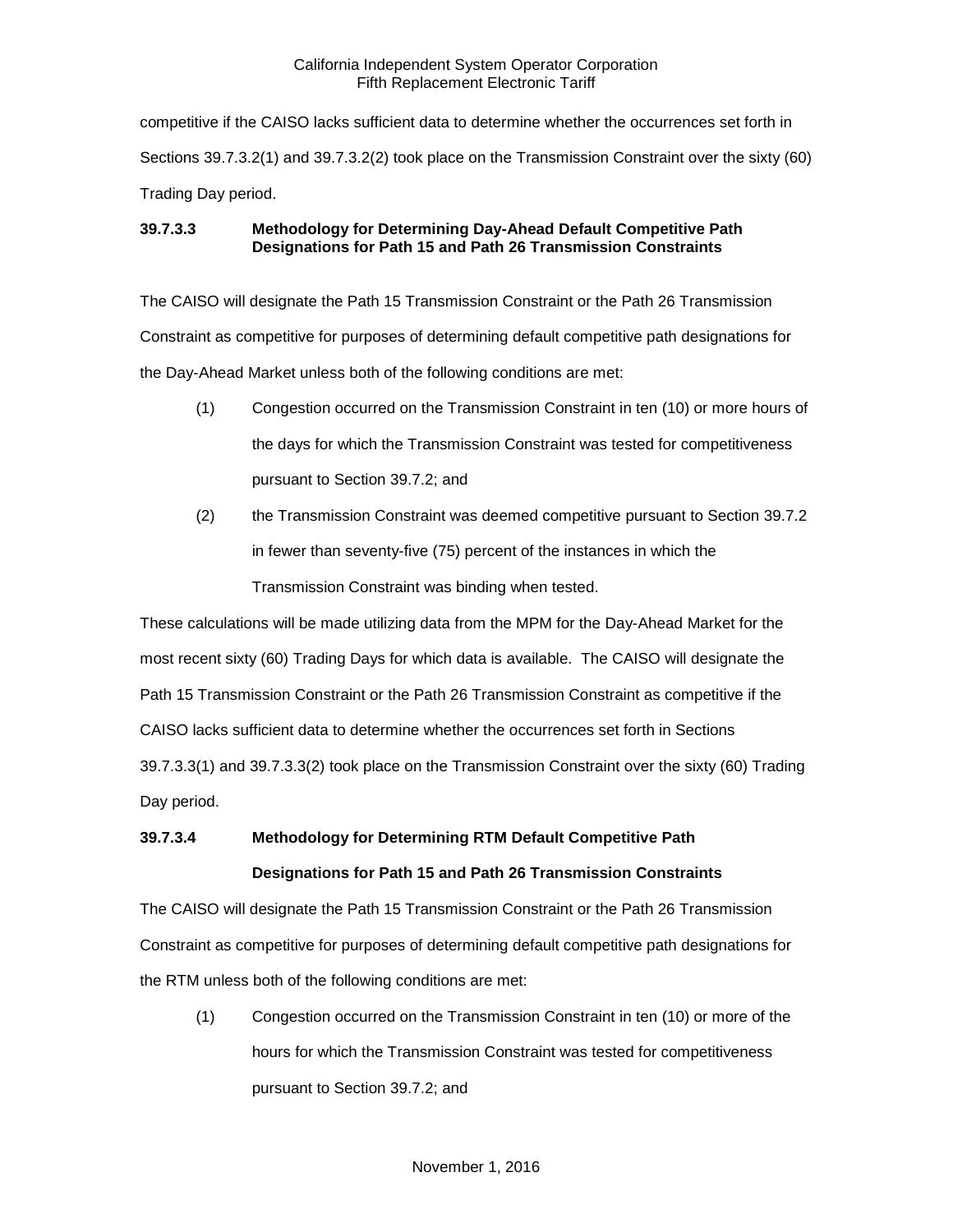competitive if the CAISO lacks sufficient data to determine whether the occurrences set forth in Sections 39.7.3.2(1) and 39.7.3.2(2) took place on the Transmission Constraint over the sixty (60) Trading Day period.

# **39.7.3.3 Methodology for Determining Day-Ahead Default Competitive Path Designations for Path 15 and Path 26 Transmission Constraints**

The CAISO will designate the Path 15 Transmission Constraint or the Path 26 Transmission Constraint as competitive for purposes of determining default competitive path designations for the Day-Ahead Market unless both of the following conditions are met:

- (1) Congestion occurred on the Transmission Constraint in ten (10) or more hours of the days for which the Transmission Constraint was tested for competitiveness pursuant to Section 39.7.2; and
- (2) the Transmission Constraint was deemed competitive pursuant to Section 39.7.2 in fewer than seventy-five (75) percent of the instances in which the Transmission Constraint was binding when tested.

These calculations will be made utilizing data from the MPM for the Day-Ahead Market for the most recent sixty (60) Trading Days for which data is available. The CAISO will designate the Path 15 Transmission Constraint or the Path 26 Transmission Constraint as competitive if the CAISO lacks sufficient data to determine whether the occurrences set forth in Sections 39.7.3.3(1) and 39.7.3.3(2) took place on the Transmission Constraint over the sixty (60) Trading Day period.

# **39.7.3.4 Methodology for Determining RTM Default Competitive Path Designations for Path 15 and Path 26 Transmission Constraints**

The CAISO will designate the Path 15 Transmission Constraint or the Path 26 Transmission Constraint as competitive for purposes of determining default competitive path designations for the RTM unless both of the following conditions are met:

(1) Congestion occurred on the Transmission Constraint in ten (10) or more of the hours for which the Transmission Constraint was tested for competitiveness pursuant to Section 39.7.2; and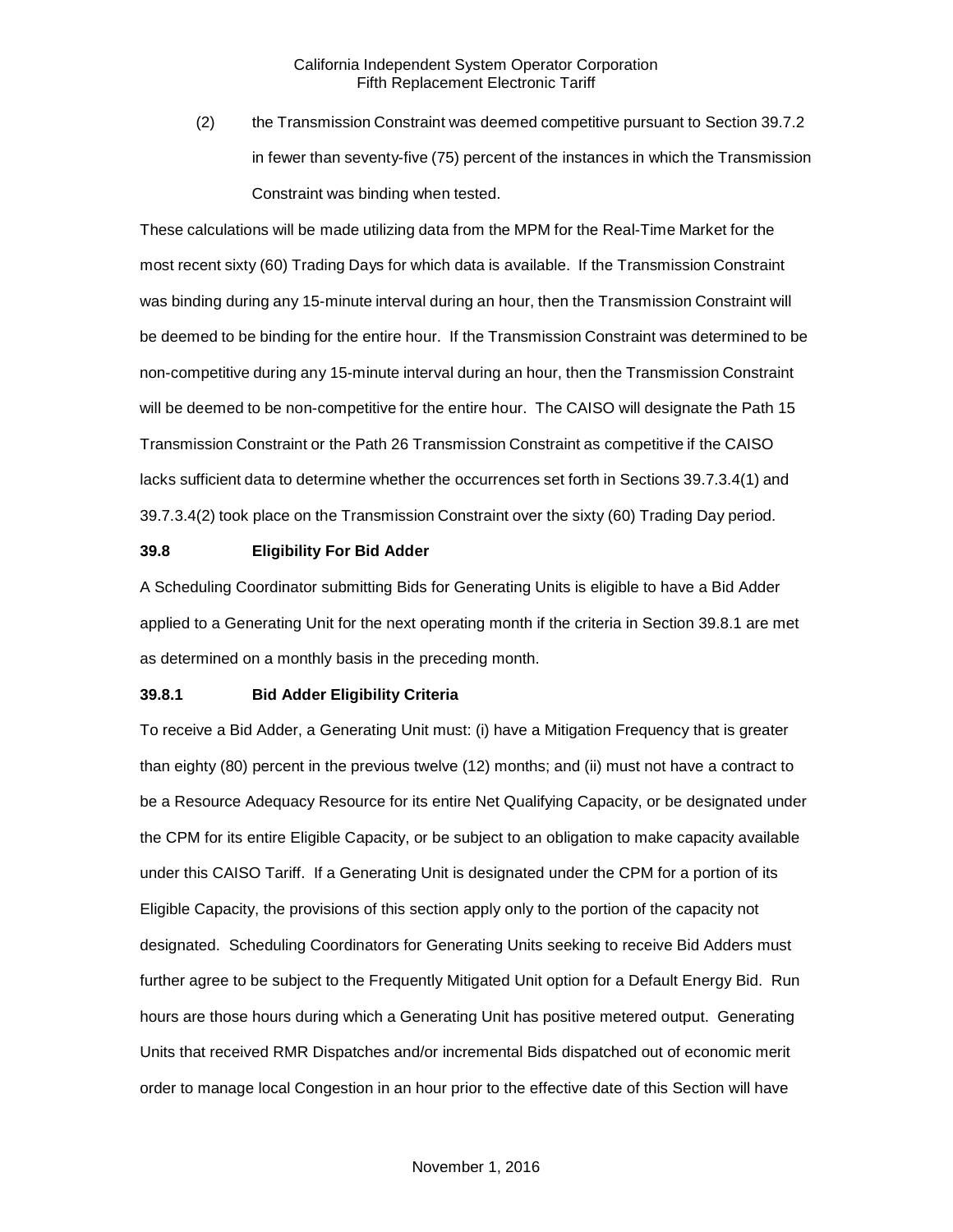(2) the Transmission Constraint was deemed competitive pursuant to Section 39.7.2 in fewer than seventy-five (75) percent of the instances in which the Transmission Constraint was binding when tested.

These calculations will be made utilizing data from the MPM for the Real-Time Market for the most recent sixty (60) Trading Days for which data is available. If the Transmission Constraint was binding during any 15-minute interval during an hour, then the Transmission Constraint will be deemed to be binding for the entire hour. If the Transmission Constraint was determined to be non-competitive during any 15-minute interval during an hour, then the Transmission Constraint will be deemed to be non-competitive for the entire hour. The CAISO will designate the Path 15 Transmission Constraint or the Path 26 Transmission Constraint as competitive if the CAISO lacks sufficient data to determine whether the occurrences set forth in Sections 39.7.3.4(1) and 39.7.3.4(2) took place on the Transmission Constraint over the sixty (60) Trading Day period.

#### <span id="page-24-0"></span>**39.8 Eligibility For Bid Adder**

A Scheduling Coordinator submitting Bids for Generating Units is eligible to have a Bid Adder applied to a Generating Unit for the next operating month if the criteria in Section 39.8.1 are met as determined on a monthly basis in the preceding month.

#### <span id="page-24-1"></span>**39.8.1 Bid Adder Eligibility Criteria**

To receive a Bid Adder, a Generating Unit must: (i) have a Mitigation Frequency that is greater than eighty (80) percent in the previous twelve (12) months; and (ii) must not have a contract to be a Resource Adequacy Resource for its entire Net Qualifying Capacity, or be designated under the CPM for its entire Eligible Capacity, or be subject to an obligation to make capacity available under this CAISO Tariff. If a Generating Unit is designated under the CPM for a portion of its Eligible Capacity, the provisions of this section apply only to the portion of the capacity not designated. Scheduling Coordinators for Generating Units seeking to receive Bid Adders must further agree to be subject to the Frequently Mitigated Unit option for a Default Energy Bid. Run hours are those hours during which a Generating Unit has positive metered output. Generating Units that received RMR Dispatches and/or incremental Bids dispatched out of economic merit order to manage local Congestion in an hour prior to the effective date of this Section will have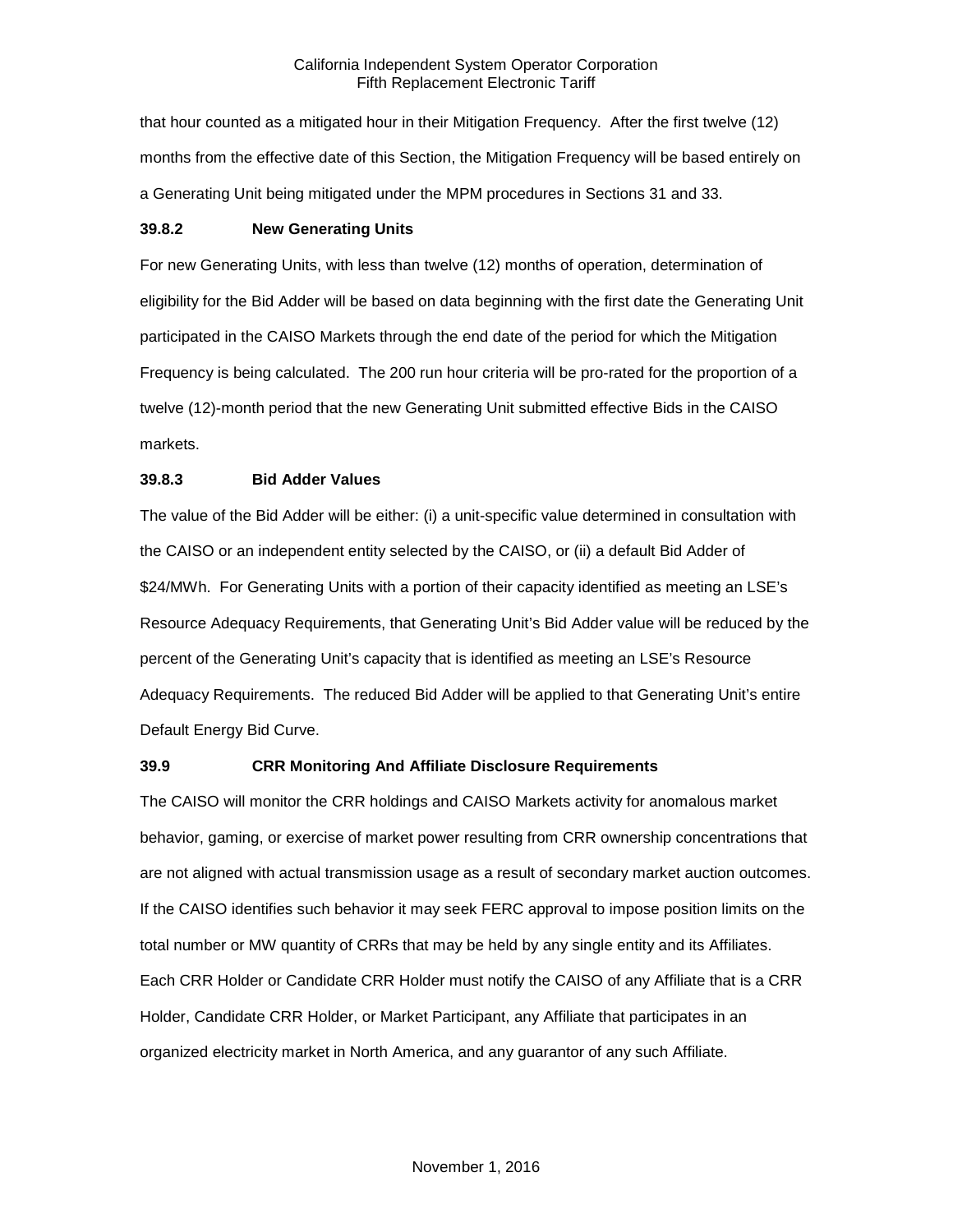that hour counted as a mitigated hour in their Mitigation Frequency. After the first twelve (12) months from the effective date of this Section, the Mitigation Frequency will be based entirely on a Generating Unit being mitigated under the MPM procedures in Sections 31 and 33.

#### <span id="page-25-0"></span>**39.8.2 New Generating Units**

For new Generating Units, with less than twelve (12) months of operation, determination of eligibility for the Bid Adder will be based on data beginning with the first date the Generating Unit participated in the CAISO Markets through the end date of the period for which the Mitigation Frequency is being calculated. The 200 run hour criteria will be pro-rated for the proportion of a twelve (12)-month period that the new Generating Unit submitted effective Bids in the CAISO markets.

#### <span id="page-25-1"></span>**39.8.3 Bid Adder Values**

The value of the Bid Adder will be either: (i) a unit-specific value determined in consultation with the CAISO or an independent entity selected by the CAISO, or (ii) a default Bid Adder of \$24/MWh. For Generating Units with a portion of their capacity identified as meeting an LSE's Resource Adequacy Requirements, that Generating Unit's Bid Adder value will be reduced by the percent of the Generating Unit's capacity that is identified as meeting an LSE's Resource Adequacy Requirements. The reduced Bid Adder will be applied to that Generating Unit's entire Default Energy Bid Curve.

#### <span id="page-25-2"></span>**39.9 CRR Monitoring And Affiliate Disclosure Requirements**

The CAISO will monitor the CRR holdings and CAISO Markets activity for anomalous market behavior, gaming, or exercise of market power resulting from CRR ownership concentrations that are not aligned with actual transmission usage as a result of secondary market auction outcomes. If the CAISO identifies such behavior it may seek FERC approval to impose position limits on the total number or MW quantity of CRRs that may be held by any single entity and its Affiliates. Each CRR Holder or Candidate CRR Holder must notify the CAISO of any Affiliate that is a CRR Holder, Candidate CRR Holder, or Market Participant, any Affiliate that participates in an organized electricity market in North America, and any guarantor of any such Affiliate.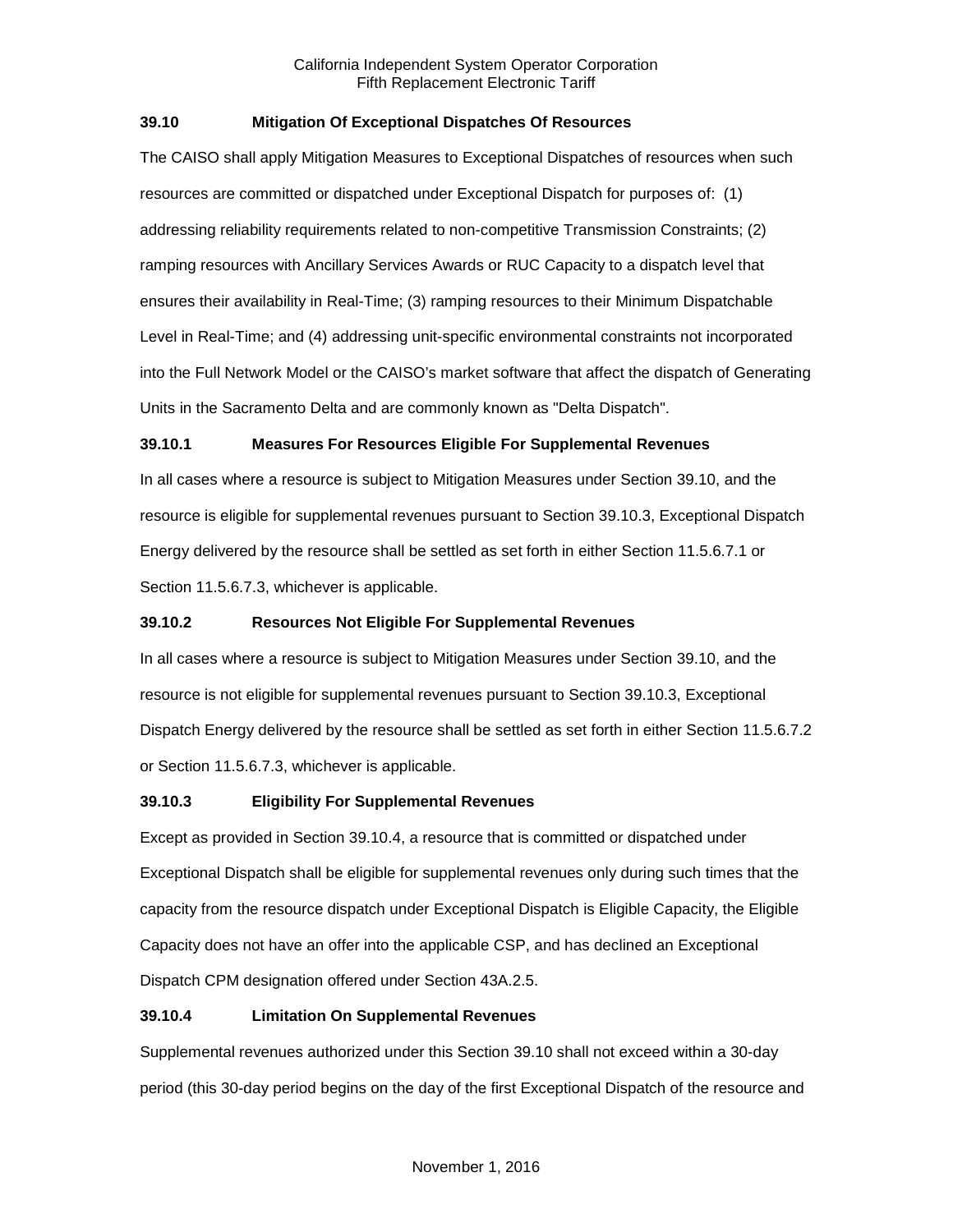# <span id="page-26-0"></span>**39.10 Mitigation Of Exceptional Dispatches Of Resources**

The CAISO shall apply Mitigation Measures to Exceptional Dispatches of resources when such resources are committed or dispatched under Exceptional Dispatch for purposes of: (1) addressing reliability requirements related to non-competitive Transmission Constraints; (2) ramping resources with Ancillary Services Awards or RUC Capacity to a dispatch level that ensures their availability in Real-Time; (3) ramping resources to their Minimum Dispatchable Level in Real-Time; and (4) addressing unit-specific environmental constraints not incorporated into the Full Network Model or the CAISO's market software that affect the dispatch of Generating Units in the Sacramento Delta and are commonly known as "Delta Dispatch".

# <span id="page-26-1"></span>**39.10.1 Measures For Resources Eligible For Supplemental Revenues**

In all cases where a resource is subject to Mitigation Measures under Section 39.10, and the resource is eligible for supplemental revenues pursuant to Section 39.10.3, Exceptional Dispatch Energy delivered by the resource shall be settled as set forth in either Section 11.5.6.7.1 or Section 11.5.6.7.3, whichever is applicable.

# <span id="page-26-2"></span>**39.10.2 Resources Not Eligible For Supplemental Revenues**

In all cases where a resource is subject to Mitigation Measures under Section 39.10, and the resource is not eligible for supplemental revenues pursuant to Section 39.10.3, Exceptional Dispatch Energy delivered by the resource shall be settled as set forth in either Section 11.5.6.7.2 or Section 11.5.6.7.3, whichever is applicable.

# <span id="page-26-3"></span>**39.10.3 Eligibility For Supplemental Revenues**

Except as provided in Section 39.10.4, a resource that is committed or dispatched under Exceptional Dispatch shall be eligible for supplemental revenues only during such times that the capacity from the resource dispatch under Exceptional Dispatch is Eligible Capacity, the Eligible Capacity does not have an offer into the applicable CSP, and has declined an Exceptional Dispatch CPM designation offered under Section 43A.2.5.

# <span id="page-26-4"></span>**39.10.4 Limitation On Supplemental Revenues**

Supplemental revenues authorized under this Section 39.10 shall not exceed within a 30-day period (this 30-day period begins on the day of the first Exceptional Dispatch of the resource and